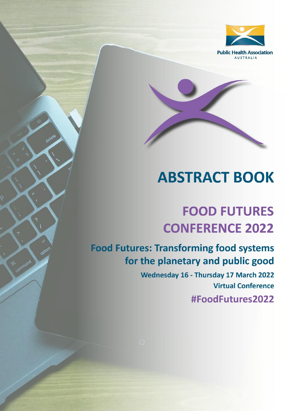

# **ABSTRACT BOOK**

# **FOOD FUTURES CONFERENCE 2022**

**Food Futures: Transforming food systems** for the planetary and public good

> Wednesday 16 - Thursday 17 March 2022 **Virtual Conference** #FoodFutures2022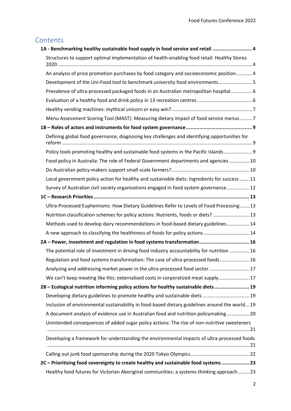# Contents

| 1A - Benchmarking healthy sustainable food supply in food service and retail  4                |
|------------------------------------------------------------------------------------------------|
| Structures to support optimal implementation of health-enabling food retail: Healthy Stores    |
| An analysis of price promotion purchases by food category and socioeconomic position 4         |
| Development of the Uni-Food tool to benchmark university food environments5                    |
| Prevalence of ultra-processed packaged foods in an Australian metropolitan hospital 6          |
|                                                                                                |
|                                                                                                |
| Menu Assessment Scoring Tool (MAST): Measuring dietary impact of food service menus 7          |
|                                                                                                |
| Defining global food governance, diagnosing key challenges and identifying opportunities for   |
| Policy tools promoting healthy and sustainable food systems in the Pacific Islands 9           |
| Food policy in Australia: The role of Federal Government departments and agencies  10          |
|                                                                                                |
| Local government policy action for healthy and sustainable diets: Ingredients for success  11  |
| Survey of Australian civil society organisations engaged in food system governance 12          |
|                                                                                                |
| Ultra-Processed Euphemisms: How Dietary Guidelines Refer to Levels of Food Processing13        |
| Nutrition classification schemes for policy actions: Nutrients, foods or diets?  13            |
| Methods used to develop dairy recommendations in food-based dietary guidelines 14              |
| A new approach to classifying the healthiness of foods for policy actions  14                  |
| 2A - Power, investment and regulation in food systems transformation 16                        |
| The potential role of investment in driving food industry accountability for nutrition  16     |
| Regulation and food systems transformation: The case of ultra-processed foods 16               |
| Analysing and addressing market power in the ultra-processed food sector  17                   |
| We can't keep meating like this: externalised costs in corporatized meat supply 17             |
| 2B - Ecological nutrition informing policy actions for healthy sustainable diets 19            |
| Developing dietary guidelines to promote healthy and sustainable diets 19                      |
| Inclusion of environmental sustainability in food-based dietary guidelines around the world 19 |
| A document analysis of evidence use in Australian food and nutrition policymaking 20           |
| Unintended consequences of added sugar policy actions: The rise of non-nutritive sweeteners    |
| Developing a framework for understanding the environmental impacts of ultra-processed foods    |
|                                                                                                |
| 22 - Prioritising food sovereignty to create healthy and sustainable food systems 23           |
| Healthy food futures for Victorian Aboriginal communities: a systems thinking approach23       |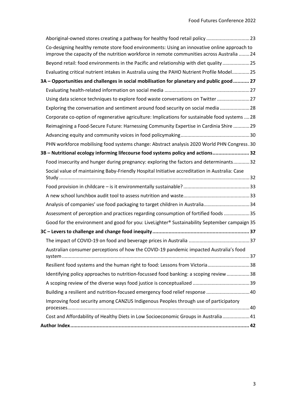| Aboriginal-owned stores creating a pathway for healthy food retail policy  23                                                                                                             |
|-------------------------------------------------------------------------------------------------------------------------------------------------------------------------------------------|
| Co-designing healthy remote store food environments: Using an innovative online approach to<br>improve the capacity of the nutrition workforce in remote communities across Australia  24 |
| Beyond retail: food environments in the Pacific and relationship with diet quality 25                                                                                                     |
| Evaluating critical nutrient intakes in Australia using the PAHO Nutrient Profile Model 25                                                                                                |
| 3A - Opportunities and challenges in social mobilisation for planetary and public good 27                                                                                                 |
|                                                                                                                                                                                           |
| Using data science techniques to explore food waste conversations on Twitter  27                                                                                                          |
| Exploring the conversation and sentiment around food security on social media  28                                                                                                         |
| Corporate co-option of regenerative agriculture: Implications for sustainable food systems  28                                                                                            |
| Reimagining a Food-Secure Future: Harnessing Community Expertise in Cardinia Shire  29                                                                                                    |
|                                                                                                                                                                                           |
| PHN workforce mobilising food systems change: Abstract analysis 2020 World PHN Congress.30                                                                                                |
| 32 - Nutritional ecology informing lifecourse food systems policy and actions 32                                                                                                          |
| Food insecurity and hunger during pregnancy: exploring the factors and determinants32                                                                                                     |
| Social value of maintaining Baby-Friendly Hospital Initiative accreditation in Australia: Case                                                                                            |
|                                                                                                                                                                                           |
|                                                                                                                                                                                           |
| Analysis of companies' use food packaging to target children in Australia34                                                                                                               |
| Assessment of perception and practices regarding consumption of fortified foods 35                                                                                                        |
| Good for the environment and good for you: LiveLighter® Sustainability September campaign 35                                                                                              |
|                                                                                                                                                                                           |
|                                                                                                                                                                                           |
| Australian consumer perceptions of how the COVID-19 pandemic impacted Australia's food                                                                                                    |
| Resilient food systems and the human right to food: Lessons from Victoria38                                                                                                               |
| Identifying policy approaches to nutrition-focussed food banking: a scoping review  38                                                                                                    |
|                                                                                                                                                                                           |
| Building a resilient and nutrition-focused emergency food relief response  40                                                                                                             |
| Improving food security among CANZUS Indigenous Peoples through use of participatory                                                                                                      |
|                                                                                                                                                                                           |
|                                                                                                                                                                                           |
| Cost and Affordability of Healthy Diets in Low Socioeconomic Groups in Australia  41                                                                                                      |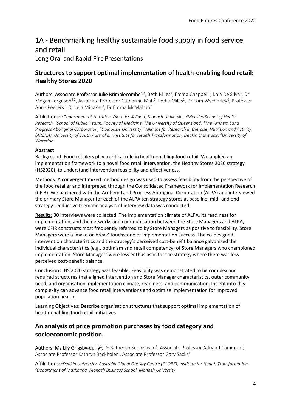# <span id="page-3-0"></span>1A - Benchmarking healthy sustainable food supply in food service and retail

Long Oral and Rapid-Fire Presentations

# <span id="page-3-1"></span>**Structures to support optimal implementation of health-enabling food retail: Healthy Stores 2020**

Authors: Associate Professor Julie Brimblecombe<sup>1,2</sup>, Beth Miles<sup>1</sup>, Emma Chappell<sup>3</sup>, Khia De Silva<sup>4</sup>, Dr Megan Ferguson<sup>3,2</sup>, Associate Professor Catherine Mah<sup>5</sup>, Eddie Miles<sup>2</sup>, Dr Tom Wycherley<sup>6</sup>, Professor Anna Peeters<sup>7</sup>, Dr Leia Minaker<sup>8</sup>, Dr Emma McMahon<sup>2</sup>

Affiliations: *<sup>1</sup>Department of Nutrition, Dietetics & Food, Monash University, <sup>2</sup>Menzies School of Health Research, <sup>3</sup> School of Public Health, Faculty of Medicine, The University of Queensland, <sup>4</sup>The Arnhem Land Progress Aboriginal Corporation, <sup>5</sup>Dalhousie University, <sup>6</sup>Alliance for Research in Exercise, Nutrition and Activity*  (ARENA), University of South Australia, <sup>7</sup>Institute for Health Transformation, Deakin University, <sup>8</sup>University of *Waterloo* 

#### **Abstract**

Background: Food retailers play a critical role in health-enabling food retail. We applied an implementation framework to a novel food retail intervention, the Healthy Stores 2020 strategy (HS2020), to understand intervention feasibility and effectiveness.

Methods: A convergent mixed method design was used to assess feasibility from the perspective of the food retailer and interpreted through the Consolidated Framework for Implementation Research (CFIR). We partnered with the Arnhem Land Progress Aboriginal Corporation (ALPA) and interviewed the primary Store Manager for each of the ALPA ten strategy stores at baseline, mid- and endstrategy. Deductive thematic analysis of interview data was conducted.

Results: 30 interviews were collected. The implementation climate of ALPA, its readiness for implementation, and the networks and communication between the Store Managers and ALPA, were CFIR constructs most frequently referred to by Store Managers as positive to feasibility. Store Managers were a 'make-or-break' touchstone of implementation success. The co-designed intervention characteristics and the strategy's perceived cost-benefit balance galvanised the individual characteristics (e.g., optimism and retail competency) of Store Managers who championed implementation. Store Managers were less enthusiastic for the strategy where there was less perceived cost-benefit balance.

Conclusions: HS 2020 strategy was feasible. Feasibility was demonstrated to be complex and required structures that aligned intervention and Store Manager characteristics, outer community need, and organisation implementation climate, readiness, and communication. Insight into this complexity can advance food retail interventions and optimise implementation for improved population health.

Learning Objectives: Describe organisation structures that support optimal implementation of health-enabling food retail initiatives

# <span id="page-3-2"></span>**An analysis of price promotion purchases by food category and socioeconomic position.**

Authors: Ms Lily Grigsby-duffy<sup>1</sup>, Dr Satheesh Seenivasan<sup>2</sup>, Associate Professor Adrian J Cameron<sup>1</sup>, Associate Professor Kathryn Backholer<sup>1</sup>, Associate Professor Gary Sacks<sup>1</sup>

Affiliations: *<sup>1</sup>Deakin University, Australia Global Obesity Centre (GLOBE), Institute for Health Transformation, 2Department of Marketing, Monash Business School, Monash University*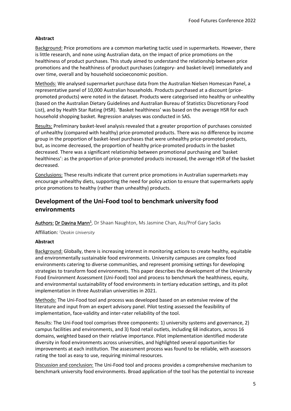#### **Abstract**

Background: Price promotions are a common marketing tactic used in supermarkets. However, there is little research, and none using Australian data, on the impact of price promotions on the healthiness of product purchases. This study aimed to understand the relationship between price promotions and the healthiness of product purchases (category- and basket-level) immediately and over time, overall and by household socioeconomic position.

Methods: We analysed supermarket purchase data from the Australian Nielsen Homescan Panel, a representative panel of 10,000 Australian households. Products purchased at a discount (pricepromoted products) were noted in the dataset. Products were categorised into healthy or unhealthy (based on the Australian Dietary Guidelines and Australian Bureau of Statistics Discretionary Food List), and by Health Star Rating (HSR). 'Basket healthiness' was based on the average HSR for each household shopping basket. Regression analyses was conducted in SAS.

Results: Preliminary basket-level analysis revealed that a greater proportion of purchases consisted of unhealthy (compared with healthy) price-promoted products. There was no difference by income group in the proportion of basket-level purchases that were unhealthy price-promoted products, but, as income decreased, the proportion of healthy price-promoted products in the basket decreased. There was a significant relationship between promotional purchasing and 'basket healthiness': as the proportion of price-promoted products increased, the average HSR of the basket decreased.

Conclusions: These results indicate that current price promotions in Australian supermarkets may encourage unhealthy diets, supporting the need for policy action to ensure that supermarkets apply price promotions to healthy (rather than unhealthy) products.

# <span id="page-4-0"></span>**Development of the Uni-Food tool to benchmark university food environments**

Authors:Dr Davina Mann<sup>1</sup> , Dr Shaan Naughton, Ms Jasmine Chan, Ass/Prof Gary Sacks

Affiliation: *<sup>1</sup>Deakin University*

#### **Abstract**

Background: Globally, there is increasing interest in monitoring actions to create healthy, equitable and environmentally sustainable food environments. University campuses are complex food environments catering to diverse communities, and represent promising settings for developing strategies to transform food environments. This paper describes the development of the University Food Environment Assessment (Uni-Food) tool and process to benchmark the healthiness, equity, and environmental sustainability of food environments in tertiary education settings, and its pilot implementation in three Australian universities in 2021.

Methods: The Uni-Food tool and process was developed based on an extensive review of the literature and input from an expert advisory panel. Pilot testing assessed the feasibility of implementation, face-validity and inter-rater reliability of the tool.

Results: The Uni-Food tool comprises three components: 1) university systems and governance, 2) campus facilities and environments, and 3) food retail outlets, including 68 indicators, across 16 domains, weighted based on their relative importance. Pilot implementation identified moderate diversity in food environments across universities, and highlighted several opportunities for improvements at each institution. The assessment process was found to be reliable, with assessors rating the tool as easy to use, requiring minimal resources.

Discussion and conclusion: The Uni-Food tool and process provides a comprehensive mechanism to benchmark university food environments. Broad application of the tool has the potential to increase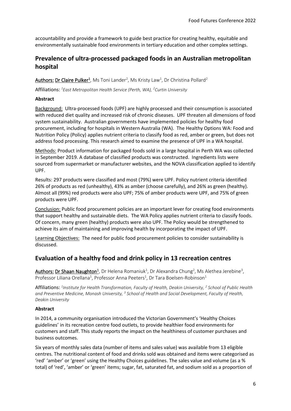accountability and provide a framework to guide best practice for creating healthy, equitable and environmentally sustainable food environments in tertiary education and other complex settings.

### <span id="page-5-0"></span>**Prevalence of ultra-processed packaged foods in an Australian metropolitan hospital**

**<u>Authors: Dr Claire Pulker<sup>1</sup>, Ms Toni Lander<sup>2</sup>, Ms Kristy Law<sup>1</sup>, Dr Christina Pollard<sup>2</sup>**</u>

Affiliations: *<sup>1</sup>East Metropolitan Health Service (Perth, WA), <sup>2</sup>Curtin University*

#### **Abstract**

Background: Ultra-processed foods (UPF) are highly processed and their consumption is associated with reduced diet quality and increased risk of chronic diseases. UPF threaten all dimensions of food system sustainability. Australian governments have implemented policies for healthy food procurement, including for hospitals in Western Australia (WA). The Healthy Options WA: Food and Nutrition Policy (Policy) applies nutrient criteria to classify food as red, amber or green, but does not address food processing. This research aimed to examine the presence of UPF in a WA hospital.

Methods: Product information for packaged foods sold in a large hospital in Perth WA was collected in September 2019. A database of classified products was constructed. Ingredients lists were sourced from supermarket or manufacturer websites, and the NOVA classification applied to identify UPF.

Results: 297 products were classified and most (79%) were UPF. Policy nutrient criteria identified 26% of products as red (unhealthy), 43% as amber (choose carefully), and 26% as green (healthy). Almost all (99%) red products were also UPF; 75% of amber products were UPF, and 75% of green products were UPF.

Conclusion: Public food procurement policies are an important lever for creating food environments that support healthy and sustainable diets. The WA Policy applies nutrient criteria to classify foods. Of concern, many green (healthy) products were also UPF. The Policy would be strengthened to achieve its aim of maintaining and improving health by incorporating the impact of UPF.

Learning Objectives: The need for public food procurement policies to consider sustainability is discussed.

### <span id="page-5-1"></span>**Evaluation of a healthy food and drink policy in 13 recreation centres**

Authors: Dr Shaan Naughton<sup>1</sup>, Dr Helena Romaniuk<sup>1</sup>, Dr Alexandra Chung<sup>2</sup>, Ms Alethea Jerebine<sup>3</sup>, Professor Liliana Orellana<sup>1</sup>, Professor Anna Peeters<sup>1</sup>, Dr Tara Boelsen-Robinson<sup>1</sup>

Affiliations: <sup>1</sup>Institute for Health Transformation, Faculty of Health, Deakin University, <sup>2</sup> School of Public Health *and Preventive Medicine, Monash University, <sup>3</sup> School of Health and Social Development, Faculty of Health, Deakin University*

#### **Abstract**

In 2014, a community organisation introduced the Victorian Government's 'Healthy Choices guidelines' in its recreation centre food outlets, to provide healthier food environments for customers and staff. This study reports the impact on the healthiness of customer purchases and business outcomes.

Six years of monthly sales data (number of items and sales value) was available from 13 eligible centres. The nutritional content of food and drinks sold was obtained and items were categorised as 'red' 'amber' or 'green' using the Healthy Choices guidelines. The sales value and volume (as a % total) of 'red', 'amber' or 'green' items; sugar, fat, saturated fat, and sodium sold as a proportion of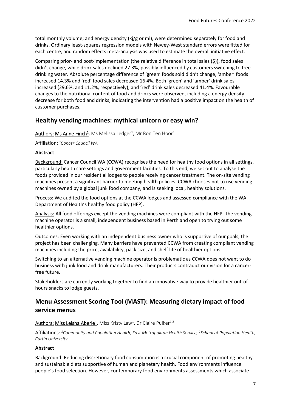total monthly volume; and energy density (kj/g or ml), were determined separately for food and drinks. Ordinary least-squares regression models with Newey-West standard errors were fitted for each centre, and random effects meta-analysis was used to estimate the overall initiative effect.

Comparing prior- and post-implementation (the relative difference in total sales (\$)), food sales didn't change, while drink sales declined 27.3%, possibly influenced by customers switching to free drinking water. Absolute percentage difference of 'green' foods sold didn't change, 'amber' foods increased 14.3% and 'red' food sales decreased 16.4%. Both 'green' and 'amber' drink sales increased (29.6%, and 11.2%, respectively), and 'red' drink sales decreased 41.4%. Favourable changes to the nutritional content of food and drinks were observed, including a energy density decrease for both food and drinks, indicating the intervention had a positive impact on the health of customer purchases.

### <span id="page-6-0"></span>**Healthy vending machines: mythical unicorn or easy win?**

 $\frac{\text{\rm Authors:}}{\text{\rm Ms}}$  **Anne Finch<sup>1</sup>**, Ms Melissa Ledger<sup>1</sup>, Mr Ron Ten Hoor<sup>1</sup>

Affiliation: *<sup>1</sup>Cancer Council WA*

#### **Abstract**

Background: Cancer Council WA (CCWA) recognises the need for healthy food options in all settings, particularly health care settings and government facilities. To this end, we set out to analyse the foods provided in our residential lodges to people receiving cancer treatment. The on-site vending machines present a significant barrier to meeting health policies. CCWA chooses not to use vending machines owned by a global junk food company, and is seeking local, healthy solutions.

Process: We audited the food options at the CCWA lodges and assessed compliance with the WA Department of Health's healthy food policy (HFP).

Analysis: All food offerings except the vending machines were compliant with the HFP. The vending machine operator is a small, independent business based in Perth and open to trying out some healthier options.

Outcomes: Even working with an independent business owner who is supportive of our goals, the project has been challenging. Many barriers have prevented CCWA from creating compliant vending machines including the price, availability, pack size, and shelf life of healthier options.

Switching to an alternative vending machine operator is problematic as CCWA does not want to do business with junk food and drink manufacturers. Their products contradict our vision for a cancerfree future.

Stakeholders are currently working together to find an innovative way to provide healthier out-ofhours snacks to lodge guests.

# <span id="page-6-1"></span>**Menu Assessment Scoring Tool (MAST): Measuring dietary impact of food service menus**

#### Authors: Miss Leisha Aberle<sup>1</sup>, Miss Kristy Law<sup>1</sup>, Dr Claire Pulker<sup>1,2</sup>

Affiliations: <sup>1</sup>Community and Population Health, East Metropolitan Health Service, <sup>2</sup>School of Population Health, *Curtin University*

#### **Abstract**

Background: Reducing discretionary food consumption is a crucial component of promoting healthy and sustainable diets supportive of human and planetary health. Food environments influence people's food selection. However, contemporary food environments assessments which associate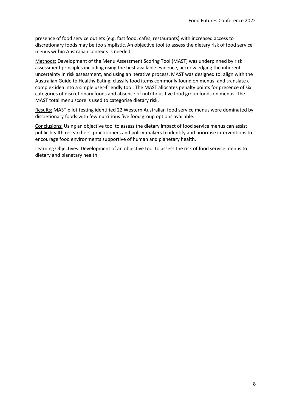presence of food service outlets (e.g. fast food, cafes, restaurants) with increased access to discretionary foods may be too simplistic. An objective tool to assess the dietary risk of food service menus within Australian contexts is needed.

Methods: Development of the Menu Assessment Scoring Tool (MAST) was underpinned by risk assessment principles including using the best available evidence, acknowledging the inherent uncertainty in risk assessment, and using an iterative process. MAST was designed to: align with the Australian Guide to Healthy Eating; classify food items commonly found on menus; and translate a complex idea into a simple user-friendly tool. The MAST allocates penalty points for presence of six categories of discretionary foods and absence of nutritious five food group foods on menus. The MAST total menu score is used to categorise dietary risk.

Results: MAST pilot testing identified 22 Western Australian food service menus were dominated by discretionary foods with few nutritious five food group options available.

Conclusions: Using an objective tool to assess the dietary impact of food service menus can assist public health researchers, practitioners and policy-makers to identify and prioritise interventions to encourage food environments supportive of human and planetary health.

Learning Objectives: Development of an objective tool to assess the risk of food service menus to dietary and planetary health.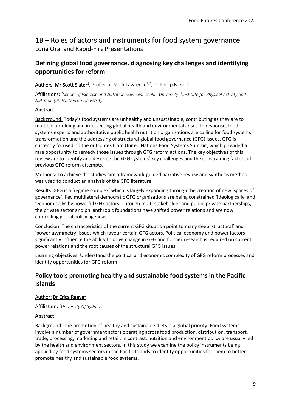# <span id="page-8-0"></span>1B – Roles of actors and instruments for food system governance Long Oral and Rapid-Fire Presentations

# <span id="page-8-1"></span>**Defining global food governance, diagnosing key challenges and identifying opportunities for reform**

Authors: Mr Scott Slater<sup>1</sup>, Professor Mark Lawrence<sup>1,2</sup>, Dr Phillip Baker<sup>1,2</sup>

Affiliations: *1 School of Exercise and Nutrition Sciences, Deakin University, <sup>2</sup> Institute for Physical Activity and Nutrition (IPAN), Deakin University*

#### **Abstract**

Background: Today's food systems are unhealthy and unsustainable, contributing as they are to multiple unfolding and intersecting global health and environmental crises. In response, food systems experts and authoritative public health nutrition organisations are calling for food systems transformation and the addressing of structural global food governance (GFG) issues. GFG is currently focused on the outcomes from United Nations Food Systems Summit, which provided a rare opportunity to remedy those issues through GFG reform actions. The key objectives of this review are to identify and describe the GFG systems' key challenges and the constraining factors of previous GFG reform attempts.

Methods: To achieve the studies aim a framework-guided narrative review and synthesis method was used to conduct an analysis of the GFG literature.

Results: GFG is a 'regime complex' which is largely expanding through the creation of new 'spaces of governance'. Key multilateral democratic GFG organizations are being constrained 'ideologically' and 'economically' by powerful GFG actors. Through multi-stakeholder and public-private partnerships, the private sector and philanthropic foundations have shifted power relations and are now controlling global policy agendas.

Conclusion: The characteristics of the current GFG situation point to many deep 'structural' and 'power asymmetry' issues which favour certain GFG actors. Political economy and power factors significantly influence the ability to drive change in GFG and further research is required on current power relations and the root causes of the structural GFG issues.

Learning objectives: Understand the political and economic complexity of GFG reform processes and identify opportunities for GFG reform.

# <span id="page-8-2"></span>**Policy tools promoting healthy and sustainable food systems in the Pacific Islands**

#### Author: Dr Erica Reeve<sup>1</sup>

Affiliation: *<sup>1</sup>University Of Sydney*

#### **Abstract**

Background: The promotion of healthy and sustainable diets is a global priority. Food systems involve a number of government actors operating across food production, distribution, transport, trade, processing, marketing and retail. In contrast, nutrition and environment policy are usually led by the health and environment sectors. In this study we examine the policy instruments being applied by food systems sectors in the Pacific Islands to identify opportunities for them to better promote healthy and sustainable food systems.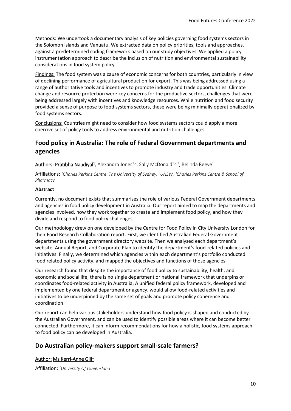Methods: We undertook a documentary analysis of key policies governing food systems sectors in the Solomon Islands and Vanuatu. We extracted data on policy priorities, tools and approaches, against a predetermined coding framework based on our study objectives. We applied a policy instrumentation approach to describe the inclusion of nutrition and environmental sustainability considerations in food system policy.

Findings: The food system was a cause of economic concerns for both countries, particularly in view of declining performance of agricultural production for export. This was being addressed using a range of authoritative tools and incentives to promote industry and trade opportunities. Climate change and resource protection were key concerns for the productive sectors, challenges that were being addressed largely with incentives and knowledge resources. While nutrition and food security provided a sense of purpose to food systems sectors, these were being minimally operationalized by food systems sectors.

Conclusions: Countries might need to consider how food systems sectors could apply a more coercive set of policy tools to address environmental and nutrition challenges.

### <span id="page-9-0"></span>**Food policy in Australia: The role of Federal Government departments and agencies**

Authors: Pratibha Naudiyal<sup>1</sup>, Alexandra Jones<sup>1,2</sup>, Sally McDonald<sup>1,2,3</sup>, Belinda Reeve<sup>1</sup>

Affiliations: *<sup>1</sup>Charles Perkins Centre, The University of Sydney, <sup>2</sup>UNSW, <sup>3</sup>Charles Perkins Centre & School of Pharmacy*

#### **Abstract**

Currently, no document exists that summarises the role of various Federal Government departments and agencies in food policy development in Australia. Our report aimed to map the departments and agencies involved, how they work together to create and implement food policy, and how they divide and respond to food policy challenges.

Our methodology drew on one developed by the Centre for Food Policy in City University London for their Food Research Collaboration report. First, we identified Australian Federal Government departments using the government directory website. Then we analysed each department's website, Annual Report, and Corporate Plan to identify the department's food-related policies and initiatives. Finally, we determined which agencies within each department's portfolio conducted food related policy activity, and mapped the objectives and functions of those agencies.

Our research found that despite the importance of food policy to sustainability, health, and economic and social life, there is no single department or national framework that underpins or coordinates food-related activity in Australia. A unified federal policy framework, developed and implemented by one federal department or agency, would allow food-related activities and initiatives to be underpinned by the same set of goals and promote policy coherence and coordination.

Our report can help various stakeholders understand how food policy is shaped and conducted by the Australian Government, and can be used to identify possible areas where it can become better connected. Furthermore, it can inform recommendations for how a holistic, food systems approach to food policy can be developed in Australia.

### <span id="page-9-1"></span>**Do Australian policy-makers support small-scale farmers?**

#### Author:Ms Kerri-Anne Gill<sup>1</sup>

Affiliation: *<sup>1</sup>University Of Queensland*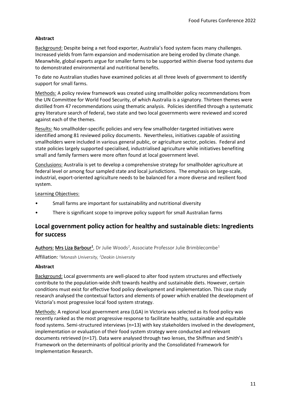#### **Abstract**

Background: Despite being a net food exporter, Australia's food system faces many challenges. Increased yields from farm expansion and modernisation are being eroded by climate change. Meanwhile, global experts argue for smaller farms to be supported within diverse food systems due to demonstrated environmental and nutritional benefits.

To date no Australian studies have examined policies at all three levels of government to identify support for small farms.

Methods: A policy review framework was created using smallholder policy recommendations from the UN Committee for World Food Security, of which Australia is a signatory. Thirteen themes were distilled from 47 recommendations using thematic analysis. Policies identified through a systematic grey literature search of federal, two state and two local governments were reviewed and scored against each of the themes.

Results: No smallholder-specific policies and very few smallholder-targeted initiatives were identified among 81 reviewed policy documents. Nevertheless, initiatives capable of assisting smallholders were included in various general public, or agriculture sector, policies. Federal and state policies largely supported specialised, industrialised agriculture while initiatives benefiting small and family farmers were more often found at local government level.

Conclusions: Australia is yet to develop a comprehensive strategy for smallholder agriculture at federal level or among four sampled state and local jurisdictions. The emphasis on large-scale, industrial, export-oriented agriculture needs to be balanced for a more diverse and resilient food system.

Learning Objectives:

- Small farms are important for sustainability and nutritional diversity
- There is significant scope to improve policy support for small Australian farms

### <span id="page-10-0"></span>**Local government policy action for healthy and sustainable diets: Ingredients for success**

Authors: Mrs Liza Barbour<sup>1</sup>, Dr Julie Woods<sup>2</sup>, Associate Professor Julie Brimblecombe<sup>1</sup>

Affiliation: *<sup>1</sup>Monash University, <sup>2</sup>Deakin University*

#### **Abstract**

Background: Local governments are well-placed to alter food system structures and effectively contribute to the population-wide shift towards healthy and sustainable diets. However, certain conditions must exist for effective food policy development and implementation. This case study research analysed the contextual factors and elements of power which enabled the development of Victoria's most progressive local food system strategy.

Methods: A regional local government area (LGA) in Victoria was selected as its food policy was recently ranked as the most progressive response to facilitate healthy, sustainable and equitable food systems. Semi-structured interviews (n=13) with key stakeholders involved in the development, implementation or evaluation of their food system strategy were conducted and relevant documents retrieved (n=17). Data were analysed through two lenses, the Shiffman and Smith's Framework on the determinants of political priority and the Consolidated Framework for Implementation Research.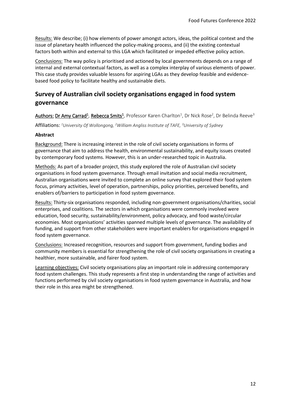Results: We describe; (i) how elements of power amongst actors, ideas, the political context and the issue of planetary health influenced the policy-making process, and (ii) the existing contextual factors both within and external to this LGA which facilitated or impeded effective policy action.

Conclusions: The way policy is prioritised and actioned by local governments depends on a range of internal and external contextual factors, as well as a complex interplay of various elements of power. This case study provides valuable lessons for aspiring LGAs as they develop feasible and evidencebased food policy to facilitate healthy and sustainable diets.

# <span id="page-11-0"></span>**Survey of Australian civil society organisations engaged in food system governance**

Authors: Dr Amy Carrad<sup>1</sup>, Rebecca Smits<sup>1</sup>, Professor Karen Charlton<sup>1</sup>, Dr Nick Rose<sup>2</sup>, Dr Belinda Reeve<sup>3</sup>

Affiliations: *<sup>1</sup>University Of Wollongong, <sup>2</sup>William Angliss Institute of TAFE, <sup>3</sup>University of Sydney*

#### **Abstract**

Background: There is increasing interest in the role of civil society organisations in forms of governance that aim to address the health, environmental sustainability, and equity issues created by contemporary food systems. However, this is an under-researched topic in Australia.

Methods: As part of a broader project, this study explored the role of Australian civil society organisations in food system governance. Through email invitation and social media recruitment, Australian organisations were invited to complete an online survey that explored their food system focus, primary activities, level of operation, partnerships, policy priorities, perceived benefits, and enablers of/barriers to participation in food system governance.

Results: Thirty-six organisations responded, including non-government organisations/charities, social enterprises, and coalitions. The sectors in which organisations were commonly involved were education, food security, sustainability/environment, policy advocacy, and food waste/circular economies. Most organisations' activities spanned multiple levels of governance. The availability of funding, and support from other stakeholders were important enablers for organisations engaged in food system governance.

Conclusions: Increased recognition, resources and support from government, funding bodies and community members is essential for strengthening the role of civil society organisations in creating a healthier, more sustainable, and fairer food system.

Learning objectives: Civil society organisations play an important role in addressing contemporary food system challenges. This study represents a first step in understanding the range of activities and functions performed by civil society organisations in food system governance in Australia, and how their role in this area might be strengthened.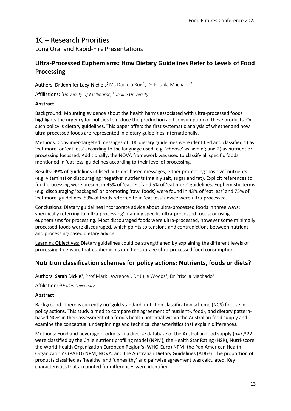# <span id="page-12-0"></span>1C – Research Priorities

Long Oral and Rapid-Fire Presentations

# <span id="page-12-1"></span>**Ultra-Processed Euphemisms: How Dietary Guidelines Refer to Levels of Food Processing**

#### Authors: Dr Jennifer Lacy-Nichols<sup>1</sup> Ms Daniela Kois<sup>1</sup>, Dr Priscila Machado<sup>2</sup>

Affiliations: *<sup>1</sup>University Of Melbourne, <sup>2</sup>Deakin University*

#### **Abstract**

Background: Mounting evidence about the health harms associated with ultra-processed foods highlights the urgency for policies to reduce the production and consumption of these products. One such policy is dietary guidelines. This paper offers the first systematic analysis of whether and how ultra-processed foods are represented in dietary guidelines internationally.

Methods: Consumer-targeted messages of 106 dietary guidelines were identified and classified 1) as 'eat more' or 'eat less' according to the language used, e.g. 'choose' vs 'avoid'; and 2) as nutrient or processing focussed. Additionally, the NOVA framework was used to classify all specific foods mentioned in 'eat less' guidelines according to their level of processing.

Results: 99% of guidelines utilised nutrient-based messages, either promoting 'positive' nutrients (e.g. vitamins) or discouraging 'negative' nutrients (mainly salt, sugar and fat). Explicit references to food processing were present in 45% of 'eat less' and 5% of 'eat more' guidelines. Euphemistic terms (e.g. discouraging 'packaged' or promoting 'raw' foods) were found in 43% of 'eat less' and 75% of 'eat more' guidelines. 53% of foods referred to in 'eat less' advice were ultra-processed.

Conclusions: Dietary guidelines incorporate advice about ultra-processed foods in three ways: specifically referring to 'ultra-processing'; naming specific ultra-processed foods; or using euphemisms for processing. Most discouraged foods were ultra-processed, however some minimally processed foods were discouraged, which points to tensions and contradictions between nutrientand processing-based dietary advice.

Learning Objectives: Dietary guidelines could be strengthened by explaining the different levels of processing to ensure that euphemisms don't encourage ultra-processed food consumption.

# <span id="page-12-2"></span>**Nutrition classification schemes for policy actions: Nutrients, foods or diets?**

Authors:Sarah Dickie<sup>1</sup> , Prof Mark Lawrence<sup>1</sup> , Dr Julie Woods<sup>1</sup> , Dr Priscila Machado<sup>1</sup>

Affiliation: *<sup>1</sup>Deakin University*

#### **Abstract**

Background: There is currently no 'gold standard' nutrition classification scheme (NCS) for use in policy actions. This study aimed to compare the agreement of nutrient-, food-, and dietary patternbased NCSs in their assessment of a food's health potential within the Australian food supply and examine the conceptual underpinnings and technical characteristics that explain differences.

Methods: Food and beverage products in a diverse database of the Australian food supply (n=7,322) were classified by the Chile nutrient profiling model (NPM), the Health Star Rating (HSR), Nutri-score, the World Health Organization European Region's (WHO-Euro) NPM, the Pan American Health Organization's (PAHO) NPM, NOVA, and the Australian Dietary Guidelines (ADGs). The proportion of products classified as 'healthy' and 'unhealthy' and pairwise agreement was calculated. Key characteristics that accounted for differences were identified.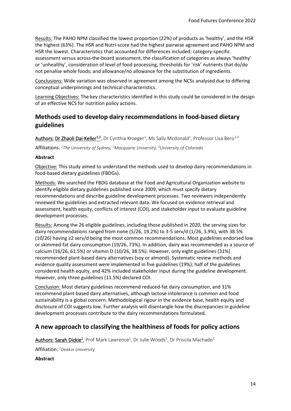Results: The PAHO NPM classified the lowest proportion (22%) of products as 'healthy', and the HSR the highest (63%). The HSR and Nutri-score had the highest pairwise agreement and PAHO NPM and HSR the lowest. Characteristics that accounted for differences included: category-specific assessment versus across-the-board assessment, the classification of categories as always 'healthy' or 'unhealthy', consideration of level of food processing, thresholds for 'risk' nutrients that do/do not penalise whole foods; and allowance/no allowance for the substitution of ingredients.

Conclusions: Wide variation was observed in agreement among the NCSs analysed due to differing conceptual underpinnings and technical characteristics.

Learning Objectives: The key characteristics identified in this study could be considered in the design of an effective NCS for nutrition policy actions.

# <span id="page-13-0"></span>**Methods used to develop dairy recommendations in food-based dietary guidelines**

Authors: Dr Zhaoli Dai-Keller<sup>1,2</sup>, Dr Cynthia Kroeger<sup>1</sup>, Ms Sally Mcdonald<sup>1</sup>, Professor Lisa Bero<sup>1,3</sup>

Affiliations: *<sup>1</sup>The University of Sydney, <sup>2</sup>Macquarie University, <sup>3</sup>University of Colorado*

#### **Abstract**

Objective: This study aimed to understand the methods used to develop dairy recommendations in food-based dietary guidelines (FBDGs).

Methods: We searched the FBDG database at the Food and Agricultural Organization website to identify eligible dietary guidelines published since 2009, which must specify dietary recommendations and describe guideline development processes. Two reviewers independently reviewed the guidelines and extracted relevant data. We focused on evidence retrieval and assessment, health equity, conflicts of interest (COI), and stakeholder input to evaluate guideline development processes.

Results: Among the 26 eligible guidelines, including those published in 2020, the serving sizes for dairy recommendations ranged from none (5/26, 19.2%) to 3-5 serv/d (1/26, 3.9%), with 38.5% (10/26) having ≥2 serv/d being the most common recommendations. Most guidelines endorsed low or skimmed-fat dairy consumption (19/26, 73%). In addition, dairy was recommended as a source of calcium (16/26, 61.5%) or vitamin D (10/26, 38.5%). However, only eight guidelines (31%) recommended plant-based dairy alternatives (soy or almond). Systematic review methods and evidence quality assessment were implemented in five guidelines (19%); half of the guidelines considered health equity, and 42% included stakeholder input during the guideline development. However, only three guidelines (11.5%) declared COI.

Conclusion: Most dietary guidelines recommend reduced-fat dairy consumption, and 31% recommend plant-based dairy alternatives, although lactose intolerance is common and food sustainability is a global concern. Methodological rigour in the evidence base, health equity and disclosure of COI suggests low. Further analysis will disentangle how the discrepancies in guideline development processes contribute to the dairy recommendations formulated.

### <span id="page-13-1"></span>**A new approach to classifying the healthiness of foods for policy actions**

Authors:Sarah Dickie<sup>1</sup> , Prof Mark Lawrence<sup>1</sup> , Dr Julie Woods<sup>1</sup> , Dr Priscila Machado<sup>1</sup>

Affiliation: *<sup>1</sup>Deakin University*

**Abstract**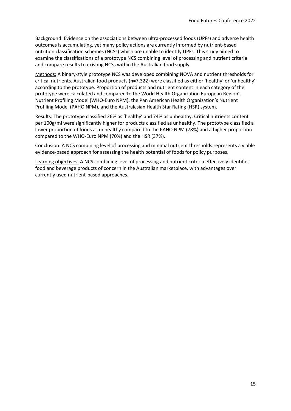Background: Evidence on the associations between ultra-processed foods (UPFs) and adverse health outcomes is accumulating, yet many policy actions are currently informed by nutrient-based nutrition classification schemes (NCSs) which are unable to identify UPFs. This study aimed to examine the classifications of a prototype NCS combining level of processing and nutrient criteria and compare results to existing NCSs within the Australian food supply.

Methods: A binary-style prototype NCS was developed combining NOVA and nutrient thresholds for critical nutrients. Australian food products (n=7,322) were classified as either 'healthy' or 'unhealthy' according to the prototype. Proportion of products and nutrient content in each category of the prototype were calculated and compared to the World Health Organization European Region's Nutrient Profiling Model (WHO-Euro NPM), the Pan American Health Organization's Nutrient Profiling Model (PAHO NPM), and the Australasian Health Star Rating (HSR) system.

Results: The prototype classified 26% as 'healthy' and 74% as unhealthy. Critical nutrients content per 100g/ml were significantly higher for products classified as unhealthy. The prototype classified a lower proportion of foods as unhealthy compared to the PAHO NPM (78%) and a higher proportion compared to the WHO-Euro NPM (70%) and the HSR (37%).

Conclusion: A NCS combining level of processing and minimal nutrient thresholds represents a viable evidence-based approach for assessing the health potential of foods for policy purposes.

Learning objectives: A NCS combining level of processing and nutrient criteria effectively identifies food and beverage products of concern in the Australian marketplace, with advantages over currently used nutrient-based approaches.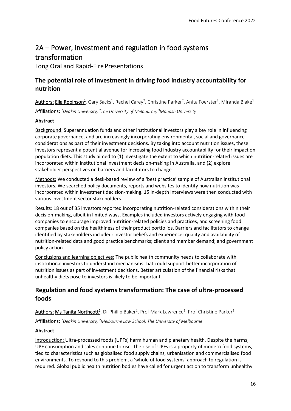# <span id="page-15-0"></span>2A – Power, investment and regulation in food systems transformation

Long Oral and Rapid-Fire Presentations

# <span id="page-15-1"></span>**The potential role of investment in driving food industry accountability for nutrition**

Authors: Ella Robinson<sup>1</sup>, Gary Sacks<sup>1</sup>, Rachel Carey<sup>2</sup>, Christine Parker<sup>2</sup>, Anita Foerster<sup>3</sup>, Miranda Blake<sup>1</sup> Affiliations: *<sup>1</sup>Deakin University, <sup>2</sup>The University of Melbourne, <sup>3</sup>Monash University*

#### **Abstract**

Background: Superannuation funds and other institutional investors play a key role in influencing corporate governance, and are increasingly incorporating environmental, social and governance considerations as part of their investment decisions. By taking into account nutrition issues, these investors represent a potential avenue for increasing food industry accountability for their impact on population diets. This study aimed to (1) investigate the extent to which nutrition-related issues are incorporated within institutional investment decision-making in Australia, and (2) explore stakeholder perspectives on barriers and facilitators to change.

Methods: We conducted a desk-based review of a 'best practice' sample of Australian institutional investors. We searched policy documents, reports and websites to identify how nutrition was incorporated within investment decision-making. 15 in-depth interviews were then conducted with various investment sector stakeholders.

Results: 18 out of 35 investors reported incorporating nutrition-related considerations within their decision-making, albeit in limited ways. Examples included investors actively engaging with food companies to encourage improved nutrition-related policies and practices, and screening food companies based on the healthiness of their product portfolios. Barriers and facilitators to change identified by stakeholders included: investor beliefs and experience; quality and availability of nutrition-related data and good practice benchmarks; client and member demand; and government policy action.

Conclusions and learning objectives: The public health community needs to collaborate with institutional investors to understand mechanisms that could support better incorporation of nutrition issues as part of investment decisions. Better articulation of the financial risks that unhealthy diets pose to investors is likely to be important.

# <span id="page-15-2"></span>**Regulation and food systems transformation: The case of ultra-processed foods**

Authors: Ms Tanita Northcott<sup>1</sup>, Dr Phillip Baker<sup>1</sup>, Prof Mark Lawrence<sup>1</sup>, Prof Christine Parker<sup>2</sup>

Affiliations: *<sup>1</sup>Deakin University, <sup>2</sup>Melbourne Law School, The University of Melbourne*

#### **Abstract**

Introduction: Ultra-processed foods (UPFs) harm human and planetary health. Despite the harms, UPF consumption and sales continue to rise. The rise of UPFs is a property of modern food systems, tied to characteristics such as globalised food supply chains, urbanisation and commercialised food environments. To respond to this problem, a 'whole of food systems' approach to regulation is required. Global public health nutrition bodies have called for urgent action to transform unhealthy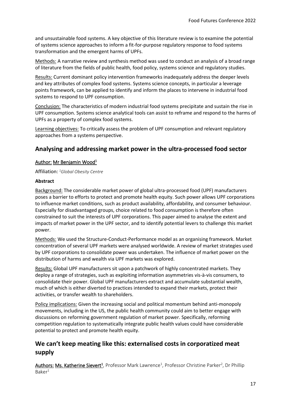and unsustainable food systems. A key objective of this literature review is to examine the potential of systems science approaches to inform a fit-for-purpose regulatory response to food systems transformation and the emergent harms of UPFs.

Methods: A narrative review and synthesis method was used to conduct an analysis of a broad range of literature from the fields of public health, food policy, systems science and regulatory studies.

Results: Current dominant policy intervention frameworks inadequately address the deeper levels and key attributes of complex food systems. Systems science concepts, in particular a leverage points framework, can be applied to identify and inform the places to intervene in industrial food systems to respond to UPF consumption.

Conclusion: The characteristics of modern industrial food systems precipitate and sustain the rise in UPF consumption. Systems science analytical tools can assist to reframe and respond to the harms of UPFs as a property of complex food systems.

Learning objectives: To critically assess the problem of UPF consumption and relevant regulatory approaches from a systems perspective.

### <span id="page-16-0"></span>**Analysing and addressing market power in the ultra-processed food sector**

#### Author:Mr Benjamin Wood<sup>1</sup>

Affiliation: *<sup>1</sup>Global Obesity Centre*

#### **Abstract**

Background: The considerable market power of global ultra-processed food (UPF) manufacturers poses a barrier to efforts to protect and promote health equity. Such power allows UPF corporations to influence market conditions, such as product availability, affordability, and consumer behaviour. Especially for disadvantaged groups, choice related to food consumption is therefore often constrained to suit the interests of UPF corporations. This paper aimed to analyse the extent and impacts of market power in the UPF sector, and to identify potential levers to challenge this market power.

Methods: We used the Structure-Conduct-Performance model as an organising framework. Market concentration of several UPF markets were analysed worldwide. A review of market strategies used by UPF corporations to consolidate power was undertaken. The influence of market power on the distribution of harms and wealth via UPF markets was explored.

Results: Global UPF manufacturers sit upon a patchwork of highly concentrated markets. They deploy a range of strategies, such as exploiting information asymmetries vis-à-vis consumers, to consolidate their power. Global UPF manufacturers extract and accumulate substantial wealth, much of which is either diverted to practices intended to expand their markets, protect their activities, or transfer wealth to shareholders.

Policy implications: Given the increasing social and political momentum behind anti-monopoly movements, including in the US, the public health community could aim to better engage with discussions on reforming government regulation of market power. Specifically, reforming competition regulation to systematically integrate public health values could have considerable potential to protect and promote health equity.

# <span id="page-16-1"></span>**We can't keep meating like this: externalised costs in corporatized meat supply**

Authors: Ms. Katherine Sievert<sup>1</sup>, Professor Mark Lawrence<sup>1</sup>, Professor Christine Parker<sup>2</sup>, Dr Phillip  $Baker<sup>1</sup>$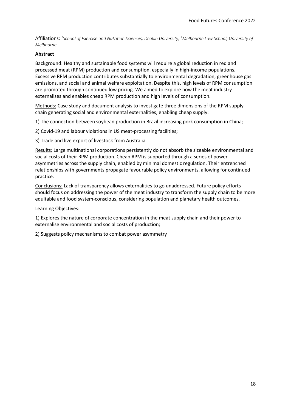Affiliations: *1 School of Exercise and Nutrition Sciences, Deakin University, <sup>2</sup>Melbourne Law School, University of Melbourne*

#### **Abstract**

Background: Healthy and sustainable food systems will require a global reduction in red and processed meat (RPM) production and consumption, especially in high-income populations. Excessive RPM production contributes substantially to environmental degradation, greenhouse gas emissions, and social and animal welfare exploitation. Despite this, high levels of RPM consumption are promoted through continued low pricing. We aimed to explore how the meat industry externalises and enables cheap RPM production and high levels of consumption.

Methods: Case study and document analysis to investigate three dimensions of the RPM supply chain generating social and environmental externalities, enabling cheap supply:

1) The connection between soybean production in Brazil increasing pork consumption in China;

2) Covid-19 and labour violations in US meat-processing facilities;

3) Trade and live export of livestock from Australia.

Results: Large multinational corporations persistently do not absorb the sizeable environmental and social costs of their RPM production. Cheap RPM is supported through a series of power asymmetries across the supply chain, enabled by minimal domestic regulation. Their entrenched relationships with governments propagate favourable policy environments, allowing for continued practice.

Conclusions: Lack of transparency allows externalities to go unaddressed. Future policy efforts should focus on addressing the power of the meat industry to transform the supply chain to be more equitable and food system-conscious, considering population and planetary health outcomes.

#### Learning Objectives:

1) Explores the nature of corporate concentration in the meat supply chain and their power to externalise environmental and social costs of production;

2) Suggests policy mechanisms to combat power asymmetry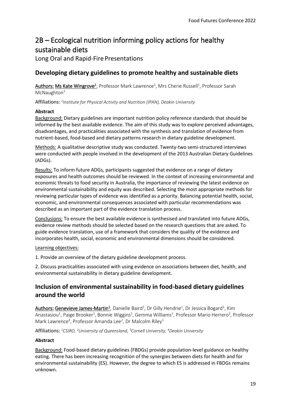# <span id="page-18-0"></span>2B – Ecological nutrition informing policy actions for healthy sustainable diets

Long Oral and Rapid-Fire Presentations

### <span id="page-18-1"></span>**Developing dietary guidelines to promote healthy and sustainable diets**

Authors: Ms Kate Wingrove<sup>1</sup>, Professor Mark Lawrence<sup>1</sup>, Mrs Cherie Russell<sup>1</sup>, Professor Sarah  $McN$ aughton $1$ 

Affiliations: *1 Institute for Physical Activity and Nutrition (IPAN), Deakin University*

#### **Abstract**

Background: Dietary guidelines are important nutrition policy reference standards that should be informed by the best available evidence. The aim of this study was to explore perceived advantages, disadvantages, and practicalities associated with the synthesis and translation of evidence from nutrient-based, food-based and dietary patterns research in dietary guideline development.

Methods: A qualitative descriptive study was conducted. Twenty-two semi-structured interviews were conducted with people involved in the development of the 2013 Australian Dietary Guidelines (ADGs).

Results: To inform future ADGs, participants suggested that evidence on a range of dietary exposures and health outcomes should be reviewed. In the context of increasing environmental and economic threats to food security in Australia, the importance of reviewing the latest evidence on environmental sustainability and equity was described. Selecting the most appropriate methods for reviewing particular types of evidence was identified as a priority. Balancing potential health, social, economic, and environmental consequences associated with particular recommendations was described as an important part of the evidence translation process.

Conclusions: To ensure the best available evidence is synthesised and translated into future ADGs, evidence review methods should be selected based on the research questions that are asked. To guide evidence translation, use of a framework that considers the quality of the evidence and incorporates health, social, economic and environmental dimensions should be considered.

#### Learning objectives:

1. Provide an overview of the dietary guideline development process.

2. Discuss practicalities associated with using evidence on associations between diet, health, and environmental sustainability in dietary guideline development.

# <span id="page-18-2"></span>**Inclusion of environmental sustainability in food-based dietary guidelines around the world**

Authors: Genevieve James-Martin<sup>1</sup>, Danielle Baird<sup>1</sup>, Dr Gilly Hendrie<sup>1</sup>, Dr Jessica Bogard<sup>1</sup>, Kim Anastasiou<sup>1</sup>, Paige Brooker<sup>1</sup>, Bonnie Wiggins<sup>1</sup>, Gemma Williams<sup>1</sup>, Professor Mario Herrero<sup>3</sup>, Professor Mark Lawrence<sup>4</sup>, Professor Amanda Lee<sup>2</sup>, Dr Malcolm Riley<sup>1</sup>

Affiliations: *<sup>1</sup>CSIRO, <sup>2</sup>University of Queensland, <sup>3</sup>Cornell University, <sup>4</sup>Deakin University*

#### **Abstract**

Background: Food-based dietary guidelines (FBDGs) provide population-level guidance on healthy eating. There has been increasing recognition of the synergies between diets for health and for environmental sustainability (ES). However, the degree to which ES is addressed in FBDGs remains unknown.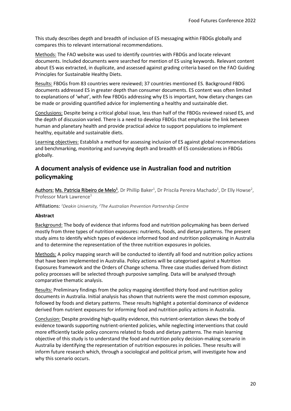This study describes depth and breadth of inclusion of ES messaging within FBDGs globally and compares this to relevant international recommendations.

Methods: The FAO website was used to identify countries with FBDGs and locate relevant documents. Included documents were searched for mention of ES using keywords. Relevant content about ES was extracted, in duplicate, and assessed against grading criteria based on the FAO Guiding Principles for Sustainable Healthy Diets.

Results: FBDGs from 83 countries were reviewed; 37 countries mentioned ES. Background FBDG documents addressed ES in greater depth than consumer documents. ES content was often limited to explanations of 'what', with few FBDGs addressing why ES is important, how dietary changes can be made or providing quantified advice for implementing a healthy and sustainable diet.

Conclusions: Despite being a critical global issue, less than half of the FBDGs reviewed raised ES, and the depth of discussion varied. There is a need to develop FBDGs that emphasise the link between human and planetary health and provide practical advice to support populations to implement healthy, equitable and sustainable diets.

Learning objectives: Establish a method for assessing inclusion of ES against global recommendations and benchmarking, monitoring and surveying depth and breadth of ES considerations in FBDGs globally.

### <span id="page-19-0"></span>**A document analysis of evidence use in Australian food and nutrition policymaking**

Authors: Ms. Patricia Ribeiro de Melo<sup>1</sup>, Dr Phillip Baker<sup>1</sup>, Dr Priscila Pereira Machado<sup>1</sup>, Dr Elly Howse<sup>2</sup>, Professor Mark Lawrence<sup>1</sup>

Affiliations: *<sup>1</sup>Deakin University, <sup>2</sup>The Australian Prevention Partnership Centre* 

#### **Abstract**

Background: The body of evidence that informs food and nutrition policymaking has been derived mostly from three types of nutrition exposures: nutrients, foods, and dietary patterns. The present study aims to identify which types of evidence informed food and nutrition policymaking in Australia and to determine the representation of the three nutrition exposures in policies.

Methods: A policy mapping search will be conducted to identify all food and nutrition policy actions that have been implemented in Australia. Policy actions will be categorised against a Nutrition Exposures framework and the Orders of Change schema. Three case studies derived from distinct policy processes will be selected through purposive sampling. Data will be analysed through comparative thematic analysis.

Results: Preliminary findings from the policy mapping identified thirty food and nutrition policy documents in Australia. Initial analysis has shown that nutrients were the most common exposure, followed by foods and dietary patterns. These results highlight a potential dominance of evidence derived from nutrient exposures for informing food and nutrition policy actions in Australia.

Conclusion: Despite providing high-quality evidence, this nutrient-orientation skews the body of evidence towards supporting nutrient-oriented policies, while neglecting interventions that could more efficiently tackle policy concerns related to foods and dietary patterns. The main learning objective of this study is to understand the food and nutrition policy decision-making scenario in Australia by identifying the representation of nutrition exposures in policies. These results will inform future research which, through a sociological and political prism, will investigate how and why this scenario occurs.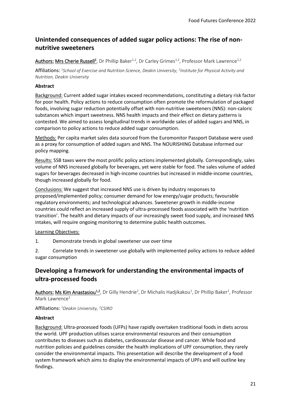# <span id="page-20-0"></span>**Unintended consequences of added sugar policy actions: The rise of nonnutritive sweeteners**

Authors: Mrs Cherie Russell<sup>1</sup>, Dr Phillip Baker<sup>1,2</sup>, Dr Carley Grimes<sup>1,2</sup>, Professor Mark Lawrence<sup>1,2</sup>

Affiliations: *1 School of Exercise and Nutrition Science, Deakin University, <sup>2</sup> Institute for Physical Activity and Nutrition, Deakin University* 

#### **Abstract**

Background: Current added sugar intakes exceed recommendations, constituting a dietary risk factor for poor health. Policy actions to reduce consumption often promote the reformulation of packaged foods, involving sugar reduction potentially offset with non-nutritive sweeteners (NNS): non-caloric substances which impart sweetness. NNS health impacts and their effect on dietary patterns is contested. We aimed to assess longitudinal trends in worldwide sales of added sugars and NNS, in comparison to policy actions to reduce added sugar consumption.

Methods: Per capita market sales data sourced from the Euromonitor Passport Database were used as a proxy for consumption of added sugars and NNS. The NOURISHING Database informed our policy mapping.

Results: SSB taxes were the most prolific policy actions implemented globally. Correspondingly, sales volume of NNS increased globally for beverages, yet were stable for food. The sales volume of added sugars for beverages decreased in high-income countries but increased in middle-income countries, though increased globally for food.

Conclusions: We suggest that increased NNS use is driven by industry responses to proposed/implemented policy; consumer demand for low energy/sugar products; favourable regulatory environments; and technological advances. Sweetener growth in middle-income countries could reflect an increased supply of ultra-processed foods associated with the 'nutrition transition'. The health and dietary impacts of our increasingly sweet food supply, and increased NNS intakes, will require ongoing monitoring to determine public health outcomes.

#### Learning Objectives:

1. Demonstrate trends in global sweetener use over time

2. Correlate trends in sweetener use globally with implemented policy actions to reduce added sugar consumption

# <span id="page-20-1"></span>**Developing a framework for understanding the environmental impacts of ultra-processed foods**

Authors: Ms Kim Anastasiou<sup>1,2</sup>, Dr Gilly Hendrie<sup>2</sup>, Dr Michalis Hadjikakou<sup>1</sup>, Dr Phillip Baker<sup>1</sup>, Professor Mark Lawrence<sup>1</sup>

Affiliations: *<sup>1</sup>Deakin University, <sup>2</sup>CSIRO*

#### **Abstract**

Background: Ultra-processed foods (UFPs) have rapidly overtaken traditional foods in diets across the world. UPF production utilises scarce environmental resources and their consumption contributes to diseases such as diabetes, cardiovascular disease and cancer. While food and nutrition policies and guidelines consider the health implications of UPF consumption, they rarely consider the environmental impacts. This presentation will describe the development of a food system framework which aims to display the environmental impacts of UPFs and will outline key findings.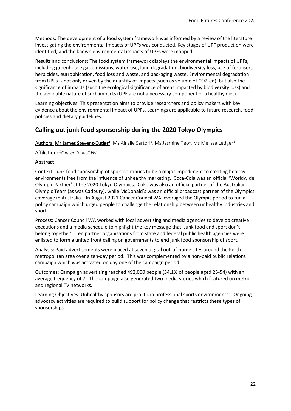Methods: The development of a food system framework was informed by a review of the literature investigating the environmental impacts of UPFs was conducted. Key stages of UPF production were identified, and the known environmental impacts of UPFs were mapped.

Results and conclusions: The food system framework displays the environmental impacts of UPFs, including greenhouse gas emissions, water-use, land degradation, biodiversity loss, use of fertilisers, herbicides, eutrophication, food loss and waste, and packaging waste. Environmental degradation from UPFs is not only driven by the quantity of impacts (such as volume of CO2-eq), but also the significance of impacts (such the ecological significance of areas impacted by biodiversity loss) and the avoidable nature of such impacts (UPF are not a necessary component of a healthy diet).

Learning objectives: This presentation aims to provide researchers and policy makers with key evidence about the environmental impact of UPFs. Learnings are applicable to future research, food policies and dietary guidelines.

### <span id="page-21-0"></span>**Calling out junk food sponsorship during the 2020 Tokyo Olympics**

Authors: Mr James Stevens-Cutler<sup>1</sup>, Ms Ainslie Sartori<sup>1</sup>, Ms Jasmine Teo<sup>1</sup>, Ms Melissa Ledger<sup>1</sup>

Affiliation: *<sup>1</sup>Cancer Council WA*

#### **Abstract**

Context: Junk food sponsorship of sport continues to be a major impediment to creating healthy environments free from the influence of unhealthy marketing. Coca-Cola was an official 'Worldwide Olympic Partner' at the 2020 Tokyo Olympics. Coke was also an official partner of the Australian Olympic Team (as was Cadbury), while McDonald's was an official broadcast partner of the Olympics coverage in Australia. In August 2021 Cancer Council WA leveraged the Olympic period to run a policy campaign which urged people to challenge the relationship between unhealthy industries and sport.

Process: Cancer Council WA worked with local advertising and media agencies to develop creative executions and a media schedule to highlight the key message that 'Junk food and sport don't belong together'. Ten partner organisations from state and federal public health agencies were enlisted to form a united front calling on governments to end junk food sponsorship of sport.

Analysis: Paid advertisements were placed at seven digital out-of-home sites around the Perth metropolitan area over a ten-day period. This was complemented by a non-paid public relations campaign which was activated on day one of the campaign period.

Outcomes: Campaign advertising reached 492,000 people (54.1% of people aged 25-54) with an average frequency of 7. The campaign also generated two media stories which featured on metro and regional TV networks.

Learning Objectives: Unhealthy sponsors are prolific in professional sports environments. Ongoing advocacy activities are required to build support for policy change that restricts these types of sponsorships.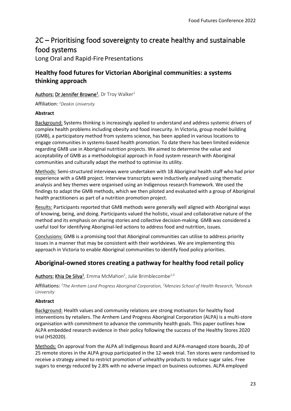# <span id="page-22-0"></span>2C – Prioritising food sovereignty to create healthy and sustainable food systems

Long Oral and Rapid-Fire Presentations

# <span id="page-22-1"></span>**Healthy food futures for Victorian Aboriginal communities: a systems thinking approach**

#### Authors:Dr Jennifer Browne<sup>1</sup> , Dr Troy Walker<sup>1</sup>

Affiliation: *<sup>1</sup>Deakin University*

#### **Abstract**

Background: Systems thinking is increasingly applied to understand and address systemic drivers of complex health problems including obesity and food insecurity. In Victoria, group model building (GMB), a participatory method from systems science, has been applied in various locations to engage communities in systems-based health promotion. To date there has been limited evidence regarding GMB use in Aboriginal nutrition projects. We aimed to determine the value and acceptability of GMB as a methodological approach in food system research with Aboriginal communities and culturally adapt the method to optimise its utility.

Methods: Semi-structured interviews were undertaken with 18 Aboriginal health staff who had prior experience with a GMB project. Interview transcripts were inductively analysed using thematic analysis and key themes were organised using an Indigenous research framework. We used the findings to adapt the GMB methods, which we then piloted and evaluated with a group of Aboriginal health practitioners as part of a nutrition promotion project.

Results: Participants reported that GMB methods were generally well aligned with Aboriginal ways of knowing, being, and doing. Participants valued the holistic, visual and collaborative nature of the method and its emphasis on sharing stories and collective decision-making. GMB was considered a useful tool for identifying Aboriginal-led actions to address food and nutrition, issues.

Conclusions: GMB is a promising tool that Aboriginal communities can utilise to address priority issues in a manner that may be consistent with their worldviews. We are implementing this approach in Victoria to enable Aboriginal communities to identify food policy priorities.

# <span id="page-22-2"></span>**Aboriginal-owned stores creating a pathway for healthy food retail policy**

Authors: Khia De Silva<sup>1</sup>, Emma McMahon<sup>2</sup>, Julie Brimblecombe<sup>2,3</sup>

Affiliations: *<sup>1</sup>The Arnhem Land Progress Aboriginal Corporation, <sup>2</sup>Menzies School of Health Research, <sup>3</sup>Monash University*

#### **Abstract**

Background: Health values and community relations are strong motivators for healthy food interventions by retailers. The Arnhem Land Progress Aboriginal Corporation (ALPA) is a multi-store organisation with commitment to advance the community health goals. This paper outlines how ALPA embedded research evidence in their policy following the success of the Healthy Stores 2020 trial (HS2020).

Methods: On approval from the ALPA all Indigenous Board and ALPA-managed store boards, 20 of 25 remote stores in the ALPA group participated in the 12-week trial. Ten stores were randomised to receive a strategy aimed to restrict promotion of unhealthy products to reduce sugar sales. Free sugars to energy reduced by 2.8% with no adverse impact on business outcomes. ALPA employed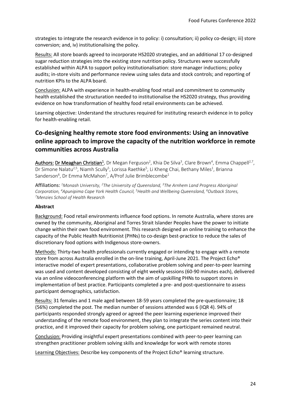strategies to integrate the research evidence in to policy: i) consultation; ii) policy co-design; iii) store conversion; and, iv) institutionalising the policy.

Results: All store boards agreed to incorporate HS2020 strategies, and an additional 17 co-designed sugar reduction strategies into the existing store nutrition policy. Structures were successfully established within ALPA to support policy institutionalisation: store manager inductions; policy audits; in-store visits and performance review using sales data and stock controls; and reporting of nutrition KPIs to the ALPA board.

Conclusion: ALPA with experience in health-enabling food retail and commitment to community health established the structuration needed to institutionalise the HS2020 strategy, thus providing evidence on how transformation of healthy food retail environments can be achieved.

Learning objective: Understand the structures required for instituting research evidence in to policy for health-enabling retail.

# <span id="page-23-0"></span>**Co-designing healthy remote store food environments: Using an innovative online approach to improve the capacity of the nutrition workforce in remote communities across Australia**

Authors: Dr Meaghan Christian<sup>1</sup>, Dr Megan Ferguson<sup>2</sup>, Khia De Silva<sup>3</sup>, Clare Brown<sup>4</sup>, Emma Chappell<sup>2,7</sup>, Dr Simone Nalatu<sup>2,5</sup>, Niamh Scully<sup>5</sup>, Lorissa Raethke<sup>5</sup>, Li Kheng Chai, Bethany Miles<sup>1</sup>, Brianna Sanderson<sup>6</sup>, Dr Emma McMahon<sup>7</sup>, A/Prof Julie Brimblecombe<sup>1</sup>

Affiliations: *<sup>1</sup>Monash University, <sup>2</sup>The University of Queensland, <sup>3</sup>The Arnhem Land Progress Aboriginal Corporation, <sup>4</sup>Apunipima Cape York Health Council, <sup>5</sup>Health and Wellbeing Queensland, <sup>6</sup>Outback Stores, <sup>7</sup>Menzies School of Health Research*

#### **Abstract**

Background: Food retail environments influence food options. In remote Australia, where stores are owned by the community, Aboriginal and Torres Strait Islander Peoples have the power to initiate change within their own food environment. This research designed an online training to enhance the capacity of the Public Health Nutritionist (PHNs) to co-design best-practice to reduce the sales of discretionary food options with Indigenous store-owners.

Methods: Thirty-two health professionals currently engaged or intending to engage with a remote store from across Australia enrolled in the on-line training, April-June 2021. The Project Echo® interactive model of expert presentations, collaborative problem solving and peer-to-peer learning was used and content developed consisting of eight weekly sessions (60-90 minutes each), delivered via an online videoconferencing platform with the aim of upskilling PHNs to support stores in implementation of best practice. Participants completed a pre- and post-questionnaire to assess participant demographics, satisfaction.

Results: 31 females and 1 male aged between 18-59 years completed the pre-questionnaire; 18 (56%) completed the post. The median number of sessions attended was 6 (IQR 4). 94% of participants responded strongly agreed or agreed the peer learning experience improved their understanding of the remote food environment, they plan to integrate the series content into their practice, and it improved their capacity for problem solving, one participant remained neutral.

Conclusion: Providing insightful expert presentations combined with peer-to-peer learning can strengthen practitioner problem solving skills and knowledge for work with remote stores

Learning Objectives: Describe key components of the Project Echo® learning structure.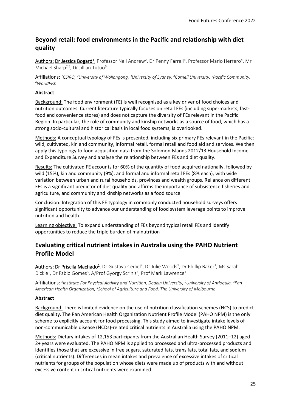# <span id="page-24-0"></span>**Beyond retail: food environments in the Pacific and relationship with diet quality**

Authors: Dr Jessica Bogard<sup>1</sup>, Professor Neil Andrew<sup>2</sup>, Dr Penny Farrell<sup>3</sup>, Professor Mario Herrero<sup>4</sup>, Mr Michael Sharp<sup>2,5</sup>, Dr Jillian Tutuo<sup>6</sup>

Affiliations: *<sup>1</sup>CSIRO, <sup>2</sup>University of Wollongong, <sup>3</sup>University of Sydney, <sup>4</sup>Cornell University, <sup>5</sup>Pacific Community, <sup>6</sup>WorldFish*

#### **Abstract**

Background: The food environment (FE) is well recognised as a key driver of food choices and nutrition outcomes. Current literature typically focuses on retail FEs (including supermarkets, fastfood and convenience stores) and does not capture the diversity of FEs relevant in the Pacific Region. In particular, the role of community and kinship networks as a source of food, which has a strong socio-cultural and historical basis in local food systems, is overlooked.

Methods: A conceptual typology of FEs is presented, including six primary FEs relevant in the Pacific; wild, cultivated, kin and community, informal retail, formal retail and food aid and services. We then apply this typology to food acquisition data from the Solomon Islands 2012/13 Household Income and Expenditure Survey and analyse the relationship between FEs and diet quality.

Results: The cultivated FE accounts for 60% of the quantity of food acquired nationally, followed by wild (15%), kin and community (9%), and formal and informal retail FEs (8% each), with wide variation between urban and rural households, provinces and wealth groups. Reliance on different FEs is a significant predictor of diet quality and affirms the importance of subsistence fisheries and agriculture, and community and kinship networks as a food source.

Conclusion: Integration of this FE typology in commonly conducted household surveys offers significant opportunity to advance our understanding of food system leverage points to improve nutrition and health.

Learning objective: To expand understanding of FEs beyond typical retail FEs and identify opportunities to reduce the triple burden of malnutrition

# <span id="page-24-1"></span>**Evaluating critical nutrient intakes in Australia using the PAHO Nutrient Profile Model**

Authors: Dr Priscila Machado<sup>1</sup>, Dr Gustavo Cediel<sup>2</sup>, Dr Julie Woods<sup>1</sup>, Dr Phillip Baker<sup>1</sup>, Ms Sarah Dickie<sup>1</sup>, Dr Fabio Gomes<sup>3</sup>, A/Prof Gyorgy Scrinis<sup>4</sup>, Prof Mark Lawrence<sup>1</sup>

Affiliations: *1 Institute For Physical Activity and Nutrition, Deakin University, <sup>2</sup>University of Antioquia, <sup>3</sup>Pan American Health Organization, <sup>4</sup> School of Agriculture and Food, The University of Melbourne*

#### **Abstract**

Background: There is limited evidence on the use of nutrition classification schemes (NCS) to predict diet quality. The Pan American Health Organization Nutrient Profile Model (PAHO NPM) is the only scheme to explicitly account for food processing. This study aimed to investigate intake levels of non-communicable disease (NCDs)-related critical nutrients in Australia using the PAHO NPM.

Methods: Dietary intakes of 12,153 participants from the Australian Health Survey (2011–12) aged 2+ years were evaluated. The PAHO NPM is applied to processed and ultra-processed products and identifies those that are excessive in free sugars, saturated fats, trans fats, total fats, and sodium (critical nutrients). Differences in mean intakes and prevalence of excessive intakes of critical nutrients for groups of the population whose diets were made up of products with and without excessive content in critical nutrients were examined.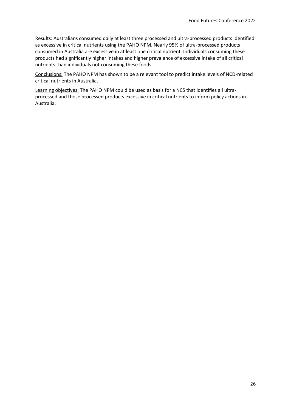Results: Australians consumed daily at least three processed and ultra-processed products identified as excessive in critical nutrients using the PAHO NPM. Nearly 95% of ultra-processed products consumed in Australia are excessive in at least one critical nutrient. Individuals consuming these products had significantly higher intakes and higher prevalence of excessive intake of all critical nutrients than individuals not consuming these foods.

Conclusions: The PAHO NPM has shown to be a relevant tool to predict intake levels of NCD-related critical nutrients in Australia.

Learning objectives: The PAHO NPM could be used as basis for a NCS that identifies all ultraprocessed and those processed products excessive in critical nutrients to inform policy actions in Australia.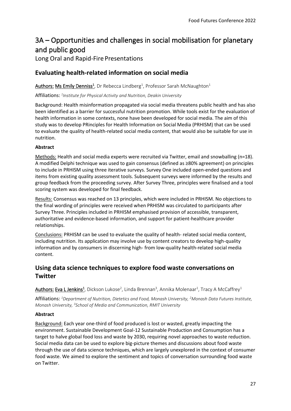# <span id="page-26-0"></span>3A – Opportunities and challenges in social mobilisation for planetary and public good

Long Oral and Rapid-Fire Presentations

# <span id="page-26-1"></span>**Evaluating health-related information on social media**

Authors: Ms Emily Denniss<sup>1</sup>, Dr Rebecca Lindberg<sup>1</sup>, Professor Sarah McNaughton<sup>1</sup>

Affiliations: *1 Institute for Physical Activity and Nutrition, Deakin University*

Background: Health misinformation propagated via social media threatens public health and has also been identified as a barrier for successful nutrition promotion. While tools exist for the evaluation of health information in some contexts, none have been developed for social media. The aim of this study was to develop PRinciples for Health Information on Social Media (PRHISM) that can be used to evaluate the quality of health-related social media content, that would also be suitable for use in nutrition.

#### **Abstract**

Methods: Health and social media experts were recruited via Twitter, email and snowballing (n=18). A modified Delphi technique was used to gain consensus (defined as ≥80% agreement) on principles to include in PRHISM using three iterative surveys. Survey One included open-ended questions and items from existing quality assessment tools. Subsequent surveys were informed by the results and group feedback from the proceeding survey. After Survey Three, principles were finalised and a tool scoring system was developed for final feedback.

Results: Consensus was reached on 13 principles, which were included in PRHISM. No objections to the final wording of principles were received when PRHISM was circulated to participants after Survey Three. Principles included in PRHISM emphasised provision of accessible, transparent, authoritative and evidence-based information, and support for patient-healthcare provider relationships.

Conclusions: PRHISM can be used to evaluate the quality of health- related social media content, including nutrition. Its application may involve use by content creators to develop high-quality information and by consumers in discerning high- from low-quality health-related social media content.

# <span id="page-26-2"></span>**Using data science techniques to explore food waste conversations on Twitter**

 $\mu$ uthors: Eva L Jenkins<sup>1</sup>, Dickson Lukose<sup>2</sup>, Linda Brennan<sup>3</sup>, Annika Molenaar<sup>1</sup>, Tracy A McCaffrey<sup>1</sup>

Affiliations: *<sup>1</sup>Department of Nutrition, Dietetics and Food, Monash University, <sup>2</sup>Monash Data Futures Institute,*  Monash University, <sup>3</sup> School of Media and Communication, RMIT University

#### **Abstract**

Background: Each year one-third of food produced is lost or wasted, greatly impacting the environment. Sustainable Development Goal-12 Sustainable Production and Consumption has a target to halve global food loss and waste by 2030, requiring novel approaches to waste reduction. Social media data can be used to explore big-picture themes and discussions about food waste through the use of data science techniques, which are largely unexplored in the context of consumer food waste. We aimed to explore the sentiment and topics of conversation surrounding food waste on Twitter.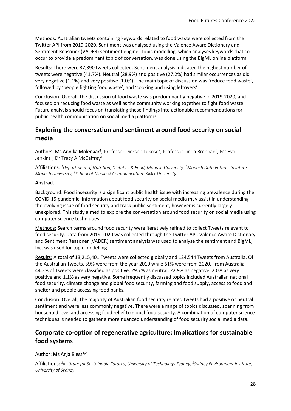Methods: Australian tweets containing keywords related to food waste were collected from the Twitter API from 2019-2020. Sentiment was analysed using the Valence Aware Dictionary and Sentiment Reasoner (VADER) sentiment engine. Topic modelling, which analyses keywords that cooccur to provide a predominant topic of conversation, was done using the BigML online platform.

Results: There were 37,390 tweets collected. Sentiment analysis indicated the highest number of tweets were negative (41.7%). Neutral (28.9%) and positive (27.2%) had similar occurrences as did very negative (1.1%) and very positive (1.0%). The main topic of discussion was 'reduce food waste', followed by 'people fighting food waste', and 'cooking and using leftovers'.

Conclusion: Overall, the discussion of food waste was predominantly negative in 2019-2020, and focused on reducing food waste as well as the community working together to fight food waste. Future analysis should focus on translating these findings into actionable recommendations for public health communication on social media platforms.

### <span id="page-27-0"></span>**Exploring the conversation and sentiment around food security on social media**

Authors: Ms Annika Molenaar<sup>1</sup>, Professor Dickson Lukose<sup>2</sup>, Professor Linda Brennan<sup>3</sup>, Ms Eva L Jenkins<sup>1</sup>, Dr Tracy A McCaffrey<sup>1</sup>

Affiliations: *<sup>1</sup>Department of Nutrition, Dietetics & Food, Monash University, <sup>2</sup>Monash Data Futures Institute, Monash University, <sup>3</sup> School of Media & Communication, RMIT University*

#### **Abstract**

Background: Food insecurity is a significant public health issue with increasing prevalence during the COVID-19 pandemic. Information about food security on social media may assist in understanding the evolving issue of food security and track public sentiment, however is currently largely unexplored. This study aimed to explore the conversation around food security on social media using computer science techniques.

Methods: Search terms around food security were iteratively refined to collect Tweets relevant to food security. Data from 2019-2020 was collected through the Twitter API. Valence Aware Dictionary and Sentiment Reasoner (VADER) sentiment analysis was used to analyse the sentiment and BigML, Inc. was used for topic modelling.

Results: A total of 13,215,401 Tweets were collected globally and 124,544 Tweets from Australia. Of the Australian Tweets, 39% were from the year 2019 while 61% were from 2020. From Australia 44.3% of Tweets were classified as positive, 29.7% as neutral, 22.9% as negative, 2.0% as very positive and 1.1% as very negative. Some frequently discussed topics included Australian national food security, climate change and global food security, farming and food supply, access to food and shelter and people accessing food banks.

Conclusion: Overall, the majority of Australian food security related tweets had a positive or neutral sentiment and were less commonly negative. There were a range of topics discussed, spanning from household level and accessing food relief to global food security. A combination of computer science techniques is needed to gather a more nuanced understanding of food security social media data.

# <span id="page-27-1"></span>**Corporate co-option of regenerative agriculture: Implications for sustainable food systems**

#### Author: Ms Anja Bless<sup>1,2</sup>

Affiliations: *1 Institute for Sustainable Futures, University of Technology Sydney, <sup>2</sup> Sydney Environment Institute, University of Sydney*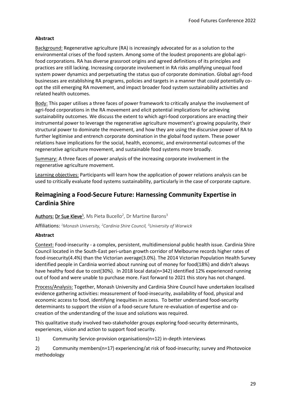#### **Abstract**

Background: Regenerative agriculture (RA) is increasingly advocated for as a solution to the environmental crises of the food system. Among some of the loudest proponents are global agrifood corporations. RA has diverse grassroot origins and agreed definitions of its principles and practices are still lacking. Increasing corporate involvement in RA risks amplifying unequal food system power dynamics and perpetuating the status quo of corporate domination. Global agri-food businesses are establishing RA programs, policies and targets in a manner that could potentially coopt the still emerging RA movement, and impact broader food system sustainability activities and related health outcomes.

Body: This paper utilises a three faces of power framework to critically analyse the involvement of agri-food corporations in the RA movement and elicit potential implications for achieving sustainability outcomes. We discuss the extent to which agri-food corporations are enacting their instrumental power to leverage the regenerative agriculture movement's growing popularity, their structural power to dominate the movement, and how they are using the discursive power of RA to further legitimise and entrench corporate domination in the global food system. These power relations have implications for the social, health, economic, and environmental outcomes of the regenerative agriculture movement, and sustainable food systems more broadly.

Summary: A three faces of power analysis of the increasing corporate involvement in the regenerative agriculture movement.

Learning objectives: Participants will learn how the application of power relations analysis can be used to critically evaluate food systems sustainability, particularly in the case of corporate capture.

### <span id="page-28-0"></span>**Reimagining a Food-Secure Future: Harnessing Community Expertise in Cardinia Shire**

#### Authors:Dr Sue Kleve<sup>1</sup> , Ms Pieta Bucello<sup>2</sup> , Dr Martine Barons<sup>3</sup>

Affiliations: *<sup>1</sup>Monash University, <sup>2</sup>Cardinia Shire Council, <sup>3</sup>University of Warwick*

#### **Abstract**

Context: Food-insecurity - a complex, persistent, multidimensional public health issue. Cardinia Shire Council located in the South-East peri-urban growth corridor of Melbourne records higher rates of food-insecurity(4.4%) than the Victorian average(3.0%). The 2014 Victorian Population Health Survey identified people in Cardinia worried about running out of money for food(18%) and didn't always have healthy food due to cost(30%). In 2018 local data(n=342) identified 12% experienced running out of food and were unable to purchase more. Fast forward to 2021 this story has not changed.

Process/Analysis: Together, Monash University and Cardinia Shire Council have undertaken localised evidence gathering activities: measurement of food-insecurity, availability of food, physical and economic access to food, identifying inequities in access. To better understand food-security determinants to support the vision of a food-secure future re-evaluation of expertise and cocreation of the understanding of the issue and solutions was required.

This qualitative study involved two-stakeholder groups exploring food-security determinants, experiences, vision and action to support food security.

1) Community Service-provision organisations(n=12) in-depth interviews

2) Community members(n=17) experiencing/at risk of food-insecurity; survey and Photovoice methodology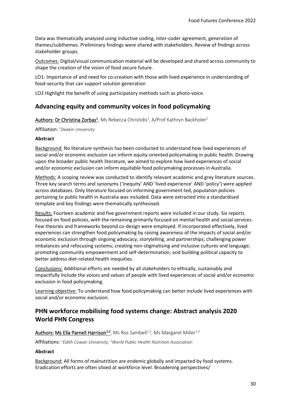Data was thematically analysed using inductive coding, inter-coder agreement, generation of themes/subthemes. Preliminary findings were shared with stakeholders. Review of findings across stakeholder groups.

Outcomes: Digital/visual communication material will be developed and shared across community to shape the creation of the vision of food secure future.

LO1: Importance of and need for co-creation with those with lived experience in understanding of food-security that can support solution generation

LO2 Highlight the benefit of using participatory methods such as photo-voice.

### <span id="page-29-0"></span>**Advancing equity and community voices in food policymaking**

Authors: Dr Christina Zorbas<sup>1</sup>, Ms Rebecca Christidis<sup>1</sup>, A/Prof Kathryn Backholer<sup>1</sup>

Affiliation: *<sup>1</sup>Deakin University*

#### **Abstract**

Background: No literature synthesis has been conducted to understand how lived experiences of social and/or economic exclusion can inform equity-oriented policymaking in public health. Drawing upon the broader public health literature, we aimed to explore how lived experiences of social and/or economic exclusion can inform equitable food policymaking processes in Australia.

Methods: A scoping review was conducted to identify relevant academic and grey literature sources. Three key search terms and synonyms ('inequity' AND 'lived experience' AND 'policy') were applied across databases. Only literature focused on informing government-led, population policies pertaining to public health in Australia was included. Data were extracted into a standardised template and key findings were thematically synthesised.

Results: Fourteen academic and five government reports were included in our study. Six reports focused on food policies, with the remaining primarily focused on mental health and social services. Few theories and frameworks beyond co-design were employed. If incorporated effectively, lived experiences can strengthen food policymaking by raising awareness of the impacts of social and/or economic exclusion through ongoing advocacy, storytelling, and partnerships; challenging power imbalances and refocusing systems; creating non-stigmatising and inclusive cultures and language; promoting community empowerment and self-determination; and building political capacity to better address diet-related health inequities.

Conclusions: Additional efforts are needed by all stakeholders to ethically, sustainably and impactfully include the voices and values of people with lived experiences of social and/or economic exclusion in food policymaking.

Learning objective: To understand how food policymaking can better include lived experiences with social and/or economic exclusion.

# <span id="page-29-1"></span>**PHN workforce mobilising food systems change: Abstract analysis 2020 World PHN Congress**

Authors: Ms Ella Parnell Harrison<sup>1,2</sup>, Ms Ros Sambell<sup>1,2</sup>, Ms Margaret Miller<sup>1,2</sup>

Affiliations: *<sup>1</sup>Edith Cowan University, <sup>2</sup>World Public Health Nutrition Association*

#### **Abstract**

Background: All forms of malnutrition are endemic globally and impacted by food systems. Eradication efforts are often siloed at workforce level. Broadening perspectives/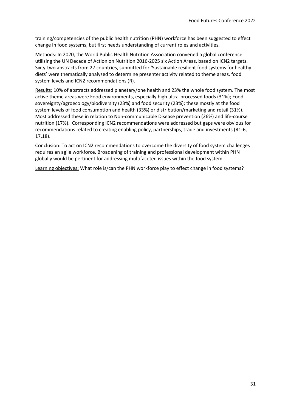training/competencies of the public health nutrition (PHN) workforce has been suggested to effect change in food systems, but first needs understanding of current roles and activities.

Methods: In 2020, the World Public Health Nutrition Association convened a global conference utilising the UN Decade of Action on Nutrition 2016-2025 six Action Areas, based on ICN2 targets. Sixty-two abstracts from 27 countries, submitted for 'Sustainable resilient food systems for healthy diets' were thematically analysed to determine presenter activity related to theme areas, food system levels and ICN2 recommendations (R).

Results: 10% of abstracts addressed planetary/one health and 23% the whole food system. The most active theme areas were Food environments, especially high ultra-processed foods (31%); Food sovereignty/agroecology/biodiversity (23%) and food security (23%); these mostly at the food system levels of food consumption and health (33%) or distribution/marketing and retail (31%). Most addressed these in relation to Non-communicable Disease prevention (26%) and life-course nutrition (17%). Corresponding ICN2 recommendations were addressed but gaps were obvious for recommendations related to creating enabling policy, partnerships, trade and investments (R1-6, 17,18).

Conclusion: To act on ICN2 recommendations to overcome the diversity of food system challenges requires an agile workforce. Broadening of training and professional development within PHN globally would be pertinent for addressing multifaceted issues within the food system.

Learning objectives: What role is/can the PHN workforce play to effect change in food systems?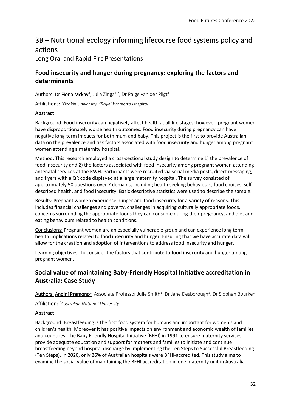# <span id="page-31-0"></span>3B – Nutritional ecology informing lifecourse food systems policy and actions

Long Oral and Rapid-Fire Presentations

# <span id="page-31-1"></span>**Food insecurity and hunger during pregnancy: exploring the factors and determinants**

Authors: Dr Fiona Mckay<sup>1</sup>, Julia Zinga<sup>1,2</sup>, Dr Paige van der Pligt<sup>1</sup>

Affiliations: *<sup>1</sup>Deakin University, <sup>2</sup>Royal Women's Hospital*

#### **Abstract**

Background: Food insecurity can negatively affect health at all life stages; however, pregnant women have disproportionately worse health outcomes. Food insecurity during pregnancy can have negative long-term impacts for both mum and baby. This project is the first to provide Australian data on the prevalence and risk factors associated with food insecurity and hunger among pregnant women attending a maternity hospital.

Method: This research employed a cross-sectional study design to determine 1) the prevalence of food insecurity and 2) the factors associated with food insecurity among pregnant women attending antenatal services at the RWH. Participants were recruited via social media posts, direct messaging, and flyers with a QR code displayed at a large maternity hospital. The survey consisted of approximately 50 questions over 7 domains, including health seeking behaviours, food choices, selfdescribed health, and food insecurity. Basic descriptive statistics were used to describe the sample.

Results: Pregnant women experience hunger and food insecurity for a variety of reasons. This includes financial challenges and poverty, challenges in acquiring culturally appropriate foods, concerns surrounding the appropriate foods they can consume during their pregnancy, and diet and eating behaviours related to health conditions.

Conclusions: Pregnant women are an especially vulnerable group and can experience long term health implications related to food insecurity and hunger. Ensuring that we have accurate data will allow for the creation and adoption of interventions to address food insecurity and hunger.

Learning objectives: To consider the factors that contribute to food insecurity and hunger among pregnant women.

# <span id="page-31-2"></span>**Social value of maintaining Baby-Friendly Hospital Initiative accreditation in Australia: Case Study**

Authors: Andini Pramono<sup>1</sup>, Associate Professor Julie Smith<sup>1</sup>, Dr Jane Desborough<sup>1</sup>, Dr Siobhan Bourke<sup>1</sup>

Affiliation: *<sup>1</sup>Australian National University*

#### **Abstract**

Background: Breastfeeding is the first food system for humans and important for women's and children's health. Moreover it has positive impacts on environment and economic wealth of families and countries. The Baby Friendly Hospital Initiative (BFHI) in 1991 to ensure maternity services provide adequate education and support for mothers and families to initiate and continue breastfeeding beyond hospital discharge by implementing the Ten Steps to Successful Breastfeeding (Ten Steps). In 2020, only 26% of Australian hospitals were BFHI-accredited. This study aims to examine the social value of maintaining the BFHI accreditation in one maternity unit in Australia.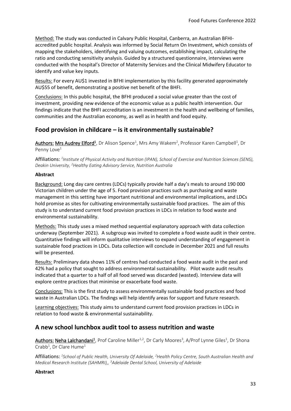Method: The study was conducted in Calvary Public Hospital, Canberra, an Australian BFHIaccredited public hospital. Analysis was informed by Social Return On Investment, which consists of mapping the stakeholders, identifying and valuing outcomes, establishing impact, calculating the ratio and conducting sensitivity analysis. Guided by a structured questionnaire, interviews were conducted with the hospital's Director of Maternity Services and the Clinical Midwifery Educator to identify and value key inputs.

Results: For every AU\$1 invested in BFHI implementation by this facility generated approximately AU\$55 of benefit, demonstrating a positive net benefit of the BHFI.

Conclusions: In this public hospital, the BFHI produced a social value greater than the cost of investment, providing new evidence of the economic value as a public health intervention. Our findings indicate that the BHFI accreditation is an investment in the health and wellbeing of families, communities and the Australian economy, as well as in health and food equity.

# <span id="page-32-0"></span>**Food provision in childcare – is it environmentally sustainable?**

Authors: Mrs Audrey Elford<sup>1</sup>, Dr Alison Spence<sup>1</sup>, Mrs Amy Wakem<sup>2</sup>, Professor Karen Campbell<sup>1</sup>, Dr Penny Love<sup>1</sup>

Affiliations: *1 Institute of Physical Activity and Nutrition (IPAN), School of Exercise and Nutrition Sciences (SENS), Deakin University, <sup>2</sup>Healthy Eating Advisory Service, Nutrition Australia*

#### **Abstract**

Background: Long day care centres (LDCs) typically provide half a day's meals to around 190 000 Victorian children under the age of 5. Food provision practices such as purchasing and waste management in this setting have important nutritional and environmental implications, and LDCs hold promise as sites for cultivating environmentally sustainable food practices. The aim of this study is to understand current food provision practices in LDCs in relation to food waste and environmental sustainability.

Methods: This study uses a mixed method sequential explanatory approach with data collection underway (September 2021). A subgroup was invited to complete a food waste audit in their centre. Quantitative findings will inform qualitative interviews to expand understanding of engagement in sustainable food practices in LDCs. Data collection will conclude in December 2021 and full results will be presented.

Results: Preliminary data shows 11% of centres had conducted a food waste audit in the past and 42% had a policy that sought to address environmental sustainability. Pilot waste audit results indicated that a quarter to a half of all food served was discarded (wasted). Interview data will explore centre practices that minimise or exacerbate food waste.

Conclusions: This is the first study to assess environmentally sustainable food practices and food waste in Australian LDCs. The findings will help identify areas for support and future research.

Learning objectives: This study aims to understand current food provision practices in LDCs in relation to food waste & environmental sustainability.

#### <span id="page-32-1"></span>**A new school lunchbox audit tool to assess nutrition and waste**

Authors: Neha Lalchandani<sup>1</sup>, Prof Caroline Miller<sup>1,2</sup>, Dr Carly Moores<sup>3</sup>, A/Prof Lynne Giles<sup>1</sup>, Dr Shona  $Crabb<sup>1</sup>$ , Dr Clare Hume<sup>1</sup>

Affiliations: *1 School of Public Health, University Of Adelaide, <sup>2</sup>Health Policy Centre, South Australian Health and Medical Research Institute (SAHMRI),, <sup>3</sup>Adelaide Dental School, University of Adelaide*

#### **Abstract**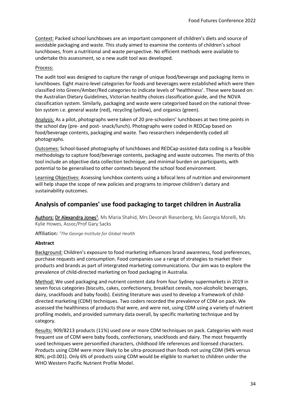Context: Packed school lunchboxes are an important component of children's diets and source of avoidable packaging and waste. This study aimed to examine the contents of children's school lunchboxes, from a nutritional and waste perspective. No efficient methods were available to undertake this assessment, so a new audit tool was developed.

#### Process:

The audit tool was designed to capture the range of unique food/beverage and packaging items in lunchboxes. Eight macro-level categories for foods and beverages were established which were then classified into Green/Amber/Red categories to indicate levels of 'healthiness'. These were based on: the Australian Dietary Guidelines, Victorian healthy choices classification guide, and the NOVA classification system. Similarly, packaging and waste were categorised based on the national threebin system i.e. general waste (red), recycling (yellow), and organics (green).

Analysis: As a pilot, photographs were taken of 20 pre-schoolers' lunchboxes at two time points in the school day (pre- and post- snack/lunch). Photographs were coded in REDCap based on food/beverage contents, packaging and waste. Two researchers independently coded all photographs.

Outcomes: School-based photography of lunchboxes and REDCap-assisted data coding is a feasible methodology to capture food/beverage contents, packaging and waste outcomes. The merits of this tool include an objective data collection technique, and minimal burden on participants, with potential to be generalised to other contexts beyond the school food environment.

Learning Objectives: Assessing lunchbox contents using a bifocal lens of nutrition and environment will help shape the scope of new policies and programs to improve children's dietary and sustainability outcomes.

### <span id="page-33-0"></span>**Analysis of companies' use food packaging to target children in Australia**

Authors: Dr Alexandra Jones<sup>1</sup>, Ms Maria Shahid, Mrs Devorah Riesenberg, Ms Georgia Morelli, Ms Kylie Howes, Assoc/Prof Gary Sacks

Affiliation: *<sup>1</sup>The George Institute for Global Health*

#### **Abstract**

Background: Children's exposure to food marketing influences brand awareness, food preferences, purchase requests and consumption. Food companies use a range of strategies to market their products and brands as part of intergrated marketing communications. Our aim was to explore the prevalence of child-directed marketing on food packaging in Australia.

Method: We used packaging and nutrient content data from four Sydney supermarkets in 2019 in seven focus categories (biscuits, cakes, confectionery, breakfast cereals, non-alcoholic beverages, dairy, snackfoods and baby foods). Existing literature was used to develop a framework of childdirected marketing (CDM) techniques. Two coders recorded the prevalence of CDM on pack. We assessed the healthiness of products that were, and were not, using CDM using a variety of nutrient profiling models, and provided summary data overall, by specific marketing technique and by category.

Results: 909/8213 products (11%) used one or more CDM techniques on pack. Categories with most frequent use of CDM were baby foods, confectionary, snackfoods and dairy. The most frequently used techniques were personified characters, childhood life references and licensed characters. Products using CDM were more likely to be ultra-processed than foods not using CDM (94% versus 80%; p<0.001). Only 6% of products using CDM would be eligible to market to children under the WHO Western Pacific Nutrient Profile Model.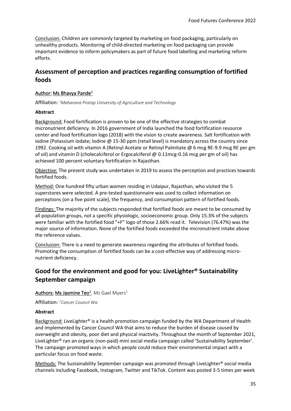Conclusion: Children are commonly targeted by marketing on food packaging, particularly on unhealthy products. Monitoring of child-directed marketing on food packaging can provide important evidence to inform policymakers as part of future food labelling and marketing reform efforts.

# <span id="page-34-0"></span>**Assessment of perception and practices regarding consumption of fortified foods**

#### Author: Ms Bhavya Pande<sup>1</sup>

Affiliation: *<sup>1</sup>Maharana Pratap University of Agriculture and Technology*

#### **Abstract**

Background: Food fortification is proven to be one of the effective strategies to combat micronutrient deficiency. In 2016 government of India launched the food fortification resource center and food fortification logo (2018) with the vision to create awareness. Salt fortification with iodine (Potassium iodate; Iodine @ 15-30 ppm (retail level) is mandatory across the country since 1992. Cooking oil with vitamin A (Retinyl Acetate or Retinyl Palmitate @ 6 mcg RE-9.9 mcg RE per gm of oil) and vitamin D (cholecalciferol or Ergocalciferol @ 0.11mcg-0.16 mcg per gm of oil) has achieved 100 percent voluntary fortification in Rajasthan.

Objective: The present study was undertaken in 2019 to assess the perception and practices towards fortified foods.

Method: One hundred fifty urban women residing in Udaipur, Rajasthan, who visited the 5 superstores were selected. A pre-tested questionnaire was used to collect information on perceptions (on a five point scale), the frequency, and consumption pattern of fortified foods.

Findings: The majority of the subjects responded that fortified foods are meant to be consumed by all population groups, not a specific physiologic, socioeconomic group. Only 15.3% of the subjects were familiar with the fortified food "+F" logo of those 2.66% read it. Television (76.47%) was the major source of information. None of the fortified foods exceeded the micronutrient intake above the reference values.

Conclusion: There is a need to generate awareness regarding the attributes of fortified foods. Promoting the consumption of fortified foods can be a cost-effective way of addressing micronutrient deficiency.

# <span id="page-34-1"></span>**Good for the environment and good for you: LiveLighter® Sustainability September campaign**

#### Authors: Ms Jasmine Teo<sup>1</sup>, Ms Gael Myers<sup>1</sup>

Affiliation: *<sup>1</sup>Cancer Council Wa*

#### **Abstract**

Background: LiveLighter® is a health promotion campaign funded by the WA Department of Health and implemented by Cancer Council WA that aims to reduce the burden of disease caused by overweight and obesity, poor diet and physical inactivity. Throughout the month of September 2021, LiveLighter® ran an organic (non-paid) mini social media campaign called 'Sustainability September'. The campaign promoted ways in which people could reduce their environmental impact with a particular focus on food waste.

Methods: The Sustainability September campaign was promoted through LiveLighter® social media channels including Facebook, Instagram, Twitter and TikTok. Content was posted 3-5 times per week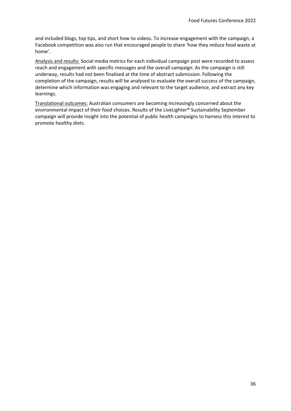and included blogs, top tips, and short how-to videos. To increase engagement with the campaign, a Facebook competition was also run that encouraged people to share 'how they reduce food waste at home'.

Analysis and results: Social media metrics for each individual campaign post were recorded to assess reach and engagement with specific messages and the overall campaign. As the campaign is still underway, results had not been finalised at the time of abstract submission. Following the completion of the campaign, results will be analysed to evaluate the overall success of the campaign, determine which information was engaging and relevant to the target audience, and extract any key learnings.

Translational outcomes: Australian consumers are becoming increasingly concerned about the environmental impact of their food choices. Results of the LiveLighter® Sustainability September campaign will provide insight into the potential of public health campaigns to harness this interest to promote healthy diets.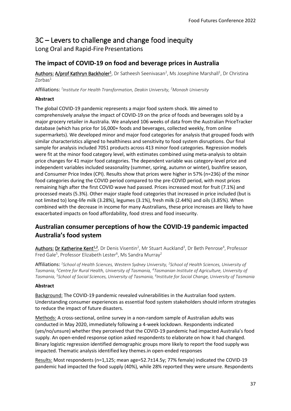# <span id="page-36-0"></span>3C – Levers to challenge and change food inequity

Long Oral and Rapid-Fire Presentations

# <span id="page-36-1"></span>**The impact of COVID-19 on food and beverage prices in Australia**

Authors: A/prof Kathryn Backholer<sup>1</sup>, Dr Satheesh Seenivasan<sup>2</sup>, Ms Josephine Marshall<sup>1</sup>, Dr Christina  $7$ orbas $<sup>1</sup>$ </sup>

Affiliations: *1 Institute For Health Transformation, Deakin University, <sup>2</sup>Monash University* 

#### **Abstract**

The global COVID-19 pandemic represents a major food system shock. We aimed to comprehensively analyse the impact of COVID-19 on the price of foods and beverages sold by a major grocery retailer in Australia. We analysed 106 weeks of data from the Australian PriceTracker database (which has price for 16,000+ foods and beverages, collected weekly, from online supermarkets). We developed minor and major food categories for analysis that grouped foods with similar characteristics aligned to healthiness and sensitivity to food system disruptions. Our final sample for analysis included 7051 products across 413 minor food categories. Regression models were fit at the minor food category level, with estimates combined using meta-analysis to obtain price changes for 41 major food categories. The dependent variable was category-level price and independent variables included seasonality (summer, spring, autumn or winter), bushfire season, and Consumer Price Index (CPI). Results show that prices were higher in 57% (n=236) of the minor food categories during the COVID period compared to the pre-COVID period, with most prices remaining high after the first COVID wave had passed. Prices increased most for fruit (7.1%) and processed meats (5.3%). Other major staple food categories that increased in price included (but is not limited to) long-life milk (3.28%), legumes (3.1%), fresh milk (2.44%) and oils (3.85%). When combined with the decrease in income for many Australians, these price increases are likely to have exacerbated impacts on food affordability, food stress and food insecurity.

# <span id="page-36-2"></span>**Australian consumer perceptions of how the COVID-19 pandemic impacted Australia's food system**

Authors: Dr Katherine Kent<sup>1,2</sup>, Dr Denis Visentin<sup>2</sup>, Mr Stuart Auckland<sup>3</sup>, Dr Beth Penrose<sup>4</sup>, Professor Fred Gale<sup>5</sup>, Professor Elizabeth Lester<sup>6</sup>, Ms Sandra Murray<sup>2</sup>

Affiliations: *1 School of Health Sciences, Western Sydney University, <sup>2</sup> School of Health Sciences, University of Tasmania, <sup>3</sup>Centre for Rural Health, University of Tasmania, <sup>4</sup>Tasmanian Institute of Agriculture, University of Tasmania, <sup>5</sup> School of Social Sciences, University of Tasmania, <sup>6</sup> Institute for Social Change, University of Tasmania*

#### **Abstract**

Background: The COVID-19 pandemic revealed vulnerabilities in the Australian food system. Understanding consumer experiences as essential food system stakeholders should inform strategies to reduce the impact of future disasters.

Methods: A cross-sectional, online survey in a non-random sample of Australian adults was conducted in May 2020, immediately following a 4-week lockdown. Respondents indicated (yes/no/unsure) whether they perceived that the COVID-19 pandemic had impacted Australia's food supply. An open-ended response option asked respondents to elaborate on how it had changed. Binary logistic regression identified demographic groups more likely to report the food supply was impacted. Thematic analysis identified key themes.in open-ended responses

Results: Most respondents (n=1,125; mean age=52.7±14.5y; 77% female) indicated the COVID-19 pandemic had impacted the food supply (40%), while 28% reported they were unsure. Respondents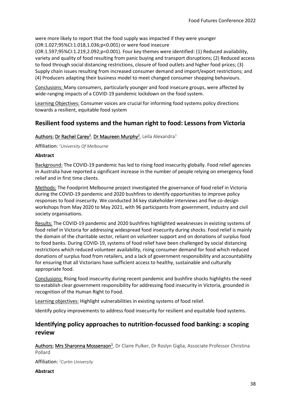were more likely to report that the food supply was impacted if they were younger (OR:1.027;95%CI:1.018,1.036;p<0.001) or were food insecure

(OR:1.597;95%CI:1.219,2.092;p=0.001). Four key themes were identified: (1) Reduced availability, variety and quality of food resulting from panic buying and transport disruptions; (2) Reduced access to food through social distancing restrictions, closure of food outlets and higher food prices; (3) Supply chain issues resulting from increased consumer demand and import/export restrictions; and (4) Producers adapting their business model to meet changed consumer shopping behaviours.

Conclusions: Many consumers, particularly younger and food insecure groups, were affected by wide-ranging impacts of a COVID-19 pandemic lockdown on the food system.

Learning Objectives: Consumer voices are crucial for informing food systems policy directions towards a resilient, equitable food system

### <span id="page-37-0"></span>**Resilient food systems and the human right to food: Lessons from Victoria**

#### Authors: Dr Rachel Carey<sup>1</sup>, Dr Maureen Murphy<sup>1</sup>, Leila Alexandra<sup>1</sup>

Affiliation: *<sup>1</sup>University Of Melbourne*

#### **Abstract**

Background: The COVID-19 pandemic has led to rising food insecurity globally. Food relief agencies in Australia have reported a significant increase in the number of people relying on emergency food relief and in first time clients.

Methods: The Foodprint Melbourne project investigated the governance of food relief in Victoria during the COVID-19 pandemic and 2020 bushfires to identify opportunities to improve policy responses to food insecurity. We conducted 34 key stakeholder interviews and five co-design workshops from May 2020 to May 2021, with 96 participants from government, industry and civil society organisations.

Results: The COVID-19 pandemic and 2020 bushfires highlighted weaknesses in existing systems of food relief in Victoria for addressing widespread food insecurity during shocks. Food relief is mainly the domain of the charitable sector, reliant on volunteer support and on donations of surplus food to food banks. During COVID-19, systems of food relief have been challenged by social distancing restrictions which reduced volunteer availability, rising consumer demand for food which reduced donations of surplus food from retailers, and a lack of government responsibility and accountability for ensuring that all Victorians have sufficient access to healthy, sustainable and culturally appropriate food.

Conclusions: Rising food insecurity during recent pandemic and bushfire shocks highlights the need to establish clear government responsibility for addressing food insecurity in Victoria, grounded in recognition of the Human Right to Food.

Learning objectives: Highlight vulnerabilities in existing systems of food relief.

Identify policy improvements to address food insecurity for resilient and equitable food systems.

### <span id="page-37-1"></span>**Identifying policy approaches to nutrition-focussed food banking: a scoping review**

Authors: Mrs Sharonna Mossenson<sup>1</sup>, Dr Claire Pulker, Dr Roslyn Giglia, Associate Professor Christina Pollard

Affiliation: *<sup>1</sup>Curtin University*

**Abstract**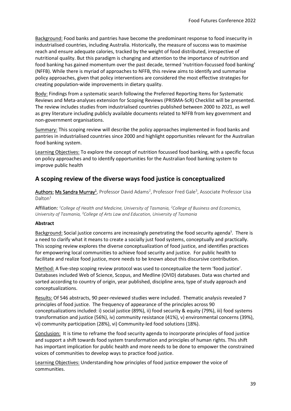Background: Food banks and pantries have become the predominant response to food insecurity in industrialised countries, including Australia. Historically, the measure of success was to maximise reach and ensure adequate calories, tracked by the weight of food distributed, irrespective of nutritional quality. But this paradigm is changing and attention to the importance of nutrition and food banking has gained momentum over the past decade, termed 'nutrition-focussed food banking' (NFFB). While there is myriad of approaches to NFFB, this review aims to identify and summarise policy approaches, given that policy interventions are considered the most effective strategies for creating population-wide improvements in dietary quality.

Body: Findings from a systematic search following the Preferred Reporting Items for Systematic Reviews and Meta-analyses extension for Scoping Reviews (PRISMA-ScR) Checklist will be presented. The review includes studies from industrialised countries published between 2000 to 2021, as well as grey literature including publicly available documents related to NFFB from key government and non-government organisations.

Summary: This scoping review will describe the policy approaches implemented in food banks and pantries in industrialised countries since 2000 and highlight opportunities relevant for the Australian food banking system.

Learning Objectives: To explore the concept of nutrition focussed food banking, with a specific focus on policy approaches and to identify opportunities for the Australian food banking system to improve public health

# <span id="page-38-0"></span>**A scoping review of the diverse ways food justice is conceptualized**

Authors: Ms Sandra Murray<sup>1</sup>, Professor David Adams<sup>2</sup>, Professor Fred Gale<sup>3</sup>, Associate Professor Lisa Dalton<sup>1</sup>

Affiliation: *<sup>1</sup>College of Health and Medicine, University of Tasmania, <sup>2</sup>College of Business and Economics, University of Tasmania, <sup>3</sup>College of Arts Law and Education, University of Tasmania*

#### **Abstract**

Background: Social justice concerns are increasingly penetrating the food security agenda<sup>1</sup>. There is a need to clarify what it means to create a socially just food systems, conceptually and practically. This scoping review explores the diverse conceptualization of food justice, and identifies practices for empowering local communities to achieve food security and justice. For public health to facilitate and realize food justice, more needs to be known about this discursive contribution.

Method: A five-step scoping review protocol was used to conceptualize the term 'food justice'. Databases included Web of Science, Scopus, and Medline (OVID) databases. Data was charted and sorted according to country of origin, year published, discipline area, type of study approach and conceptualizations.

Results: Of 546 abstracts, 90 peer-reviewed studies were included. Thematic analysis revealed 7 principles of food justice. The frequency of appearance of the principles across 90 conceptualizations included: i) social justice (89%), ii) food security & equity (79%), iii) food systems transformation and justice (56%), iv) community resistance (41%), v) environmental concerns (39%), vi) community participation (28%), vi) Community-led food solutions (18%).

Conclusion: It is time to reframe the food security agenda to incorporate principles of food justice and support a shift towards food system transformation and principles of human rights. This shift has important implication for public health and more needs to be done to empower the constrained voices of communities to develop ways to practice food justice.

Learning Objectives: Understanding how principles of food justice empower the voice of communities.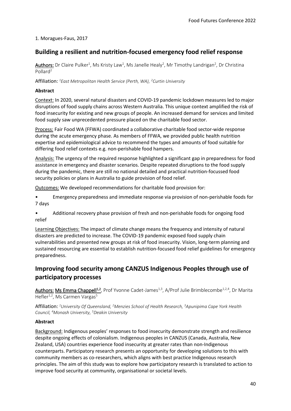#### 1. Moragues-Faus, 2017

### <span id="page-39-0"></span>**Building a resilient and nutrition-focused emergency food relief response**

Authors: Dr Claire Pulker<sup>1</sup>, Ms Kristy Law<sup>1</sup>, Ms Janelle Healy<sup>2</sup>, Mr Timothy Landrigan<sup>2</sup>, Dr Christina Pollard<sup>2</sup>

Affiliation: *<sup>1</sup>East Metropolitan Health Service (Perth, WA), <sup>2</sup>Curtin University*

#### **Abstract**

Context: In 2020, several natural disasters and COVID-19 pandemic lockdown measures led to major disruptions of food supply chains across Western Australia. This unique context amplified the risk of food insecurity for existing and new groups of people. An increased demand for services and limited food supply saw unprecedented pressure placed on the charitable food sector.

Process: Fair Food WA (FFWA) coordinated a collaborative charitable food sector-wide response during the acute emergency phase. As members of FFWA, we provided public health nutrition expertise and epidemiological advice to recommend the types and amounts of food suitable for differing food relief contexts e.g. non-perishable food hampers.

Analysis: The urgency of the required response highlighted a significant gap in preparedness for food assistance in emergency and disaster scenarios. Despite repeated disruptions to the food supply during the pandemic, there are still no national detailed and practical nutrition-focussed food security policies or plans in Australia to guide provision of food relief.

Outcomes: We developed recommendations for charitable food provision for:

• Emergency preparedness and immediate response via provision of non-perishable foods for 7 days

• Additional recovery phase provision of fresh and non-perishable foods for ongoing food relief

Learning Objectives: The impact of climate change means the frequency and intensity of natural disasters are predicted to increase. The COVID-19 pandemic exposed food supply chain vulnerabilities and presented new groups at risk of food insecurity. Vision, long-term planning and sustained resourcing are essential to establish nutrition-focused food relief guidelines for emergency preparedness.

# <span id="page-39-1"></span>**Improving food security among CANZUS Indigenous Peoples through use of participatory processes**

Authors: Ms Emma Chappell<sup>1,2</sup>, Prof Yvonne Cadet-James<sup>1,3</sup>, A/Prof Julie Brimblecombe<sup>1,2,4</sup>, Dr Marita Hefler<sup>1,2</sup>, Ms Carmen Vargas<sup>5</sup>

Affiliation: *<sup>1</sup>University Of Queensland, <sup>2</sup>Menzies School of Health Research, <sup>3</sup>Apunipima Cape York Health Council, <sup>4</sup>Monash University, <sup>5</sup>Deakin University*

#### **Abstract**

Background: Indigenous peoples' responses to food insecurity demonstrate strength and resilience despite ongoing effects of colonialism. Indigenous peoples in CANZUS (Canada, Australia, New Zealand, USA) countries experience food insecurity at greater rates than non-Indigenous counterparts. Participatory research presents an opportunity for developing solutions to this with community members as co-researchers, which aligns with best practice Indigenous research principles. The aim of this study was to explore how participatory research is translated to action to improve food security at community, organisational or societal levels.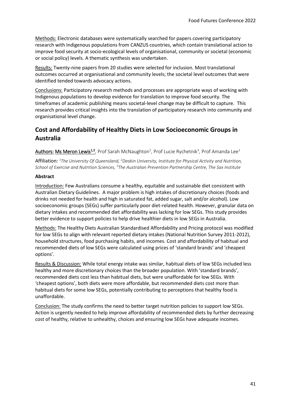Methods: Electronic databases were systematically searched for papers covering participatory research with Indigenous populations from CANZUS countries, which contain translational action to improve food security at socio-ecological levels of organisational, community or societal (economic or social policy) levels. A thematic synthesis was undertaken.

Results: Twenty-nine papers from 20 studies were selected for inclusion. Most translational outcomes occurred at organisational and community levels; the societal level outcomes that were identified tended towards advocacy actions.

Conclusions: Participatory research methods and processes are appropriate ways of working with Indigenous populations to develop evidence for translation to improve food security. The timeframes of academic publishing means societal-level change may be difficult to capture. This research provides critical insights into the translation of participatory research into community and organisational level change.

# <span id="page-40-0"></span>**Cost and Affordability of Healthy Diets in Low Socioeconomic Groups in Australia**

Authors: Ms Meron Lewis<sup>1,3</sup>, Prof Sarah McNaughton<sup>2</sup>, Prof Lucie Rychetnik<sup>3</sup>, Prof Amanda Lee<sup>1</sup>

Affiliation: *<sup>1</sup>The University Of Queensland, <sup>2</sup>Deakin University, Institute for Physical Activity and Nutrition, School of Exercise and Nutrition Sciences, <sup>3</sup>The Australian Prevention Partnership Centre, The Sax Institute*

#### **Abstract**

Introduction: Few Australians consume a healthy, equitable and sustainable diet consistent with Australian Dietary Guidelines. A major problem is high intakes of discretionary choices (foods and drinks not needed for health and high in saturated fat, added sugar, salt and/or alcohol). Low socioeconomic groups (SEGs) suffer particularly poor diet-related health. However, granular data on dietary intakes and recommended diet affordability was lacking for low SEGs. This study provides better evidence to support policies to help drive healthier diets in low SEGs in Australia.

Methods: The Healthy Diets Australian Standardised Affordability and Pricing protocol was modified for low SEGs to align with relevant reported dietary intakes (National Nutrition Survey 2011-2012), household structures, food purchasing habits, and incomes. Cost and affordability of habitual and recommended diets of low SEGs were calculated using prices of 'standard brands' and 'cheapest options'.

Results & Discussion: While total energy intake was similar, habitual diets of low SEGs included less healthy and more discretionary choices than the broader population. With 'standard brands', recommended diets cost less than habitual diets, but were unaffordable for low SEGs. With 'cheapest options', both diets were more affordable, but recommended diets cost more than habitual diets for some low SEGs, potentially contributing to perceptions that healthy food is unaffordable.

Conclusion: The study confirms the need to better target nutrition policies to support low SEGs. Action is urgently needed to help improve affordability of recommended diets by further decreasing cost of healthy, relative to unhealthy, choices and ensuring low SEGs have adequate incomes.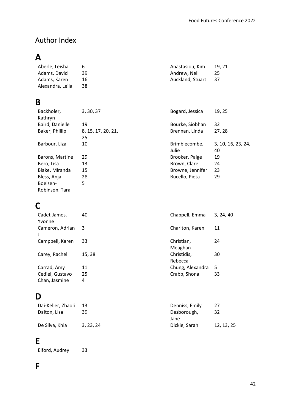# <span id="page-41-0"></span>Author Index

# **A**

| Aberle, Leisha   | 6   | Anastasiou, Kim  | 19.21 |
|------------------|-----|------------------|-------|
| Adams, David     | 39. | Andrew. Neil     | 25    |
| Adams, Karen     | 16  | Auckland. Stuart | 37    |
| Alexandra, Leila | 38  |                  |       |

# **B**

| Backholer,<br>Kathryn | 3, 30, 37                | Bogard, Jessica        | 19, 25                   |
|-----------------------|--------------------------|------------------------|--------------------------|
| Baird, Danielle       | 19                       | Bourke, Siobhan        | 32                       |
| Baker, Phillip        | 8, 15, 17, 20, 21,<br>25 | Brennan, Linda         | 27, 28                   |
| Barbour, Liza         | 10                       | Brimblecombe,<br>Julie | 3, 10, 16, 23, 24,<br>40 |
| Barons, Martine       | 29                       | Brooker, Paige         | 19                       |
| Bero, Lisa            | 13                       | Brown, Clare           | 24                       |
| Blake, Miranda        | 15                       | Browne, Jennifer       | 23                       |
| Bless, Anja           | 28                       | Bucello, Pieta         | 29                       |
| Boelsen-              | 5                        |                        |                          |
| Robinson, Tara        |                          |                        |                          |

# **C**

| Cadet-James,<br>Yvonne           | 40      | Chappell, Emma         | 3, 24, 40 |
|----------------------------------|---------|------------------------|-----------|
| Cameron, Adrian                  | 3       | Charlton, Karen        | 11        |
| Campbell, Karen                  | 33      | Christian,<br>Meaghan  | 24        |
| Carey, Rachel                    | 15, 38  | Christidis,<br>Rebecca | 30        |
| Carrad, Amy                      | 11      | Chung, Alexandra       | 5         |
| Cediel, Gustavo<br>Chan, Jasmine | 25<br>4 | Crabb, Shona           | 33        |

# **D**

| Dai-Keller, Zhaoli | -13       | Denniss, Emily | 27         |
|--------------------|-----------|----------------|------------|
| Dalton, Lisa       | 39        | Desborough,    | 32         |
|                    |           | Jane           |            |
| De Silva, Khia     | 3, 23, 24 | Dickie, Sarah  | 12, 13, 25 |

# **E**

Elford, Audrey 33

# **F**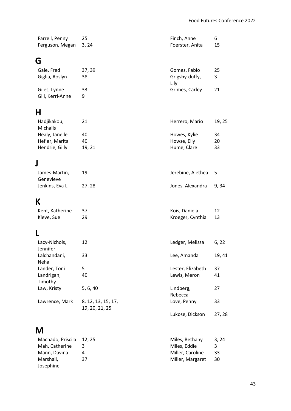| Farrell, Penny<br>Ferguson, Megan                  | 25<br>3, 24        | Finch, Anne<br>Foerster, Anita             | 6<br>15        |
|----------------------------------------------------|--------------------|--------------------------------------------|----------------|
| G                                                  |                    |                                            |                |
| Gale, Fred<br>Giglia, Roslyn                       | 37, 39<br>38       | Gomes, Fabio<br>Grigsby-duffy,<br>Lily     | 25<br>3        |
| Giles, Lynne<br>Gill, Kerri-Anne                   | 33<br>9            | Grimes, Carley                             | 21             |
| Н                                                  |                    |                                            |                |
| Hadjikakou,<br>Michalis                            | 21                 | Herrero, Mario                             | 19, 25         |
| Healy, Janelle<br>Hefler, Marita<br>Hendrie, Gilly | 40<br>40<br>19, 21 | Howes, Kylie<br>Howse, Elly<br>Hume, Clare | 34<br>20<br>33 |
| J                                                  |                    |                                            |                |
| James-Martin,<br>Genevieve                         | 19                 | Jerebine, Alethea                          | 5              |
| Jenkins, Eva L                                     | 27, 28             | Jones, Alexandra                           | 9,34           |
| K                                                  |                    |                                            |                |
| Kent, Katherine<br>Kleve, Sue                      | 37<br>29           | Kois, Daniela<br>Kroeger, Cynthia          | 12<br>13       |
| L                                                  |                    |                                            |                |
| Lacy-Nichols,<br>Jennifer                          | 12                 | Ledger, Melissa                            | 6, 22          |
| Lalchandani,<br>Neha                               | 33                 | Lee, Amanda                                | 19, 41         |
| Lander, Toni                                       | 5                  | Lester, Elizabeth                          | 37             |

# **M**

Landrigan, Timothy

Lawrence, Mark 8, 12, 13, 15, 17,

19, 20, 21, 25

| Machado, Priscila 12, 25 |    | Miles, Bethany   | 3.24 |
|--------------------------|----|------------------|------|
| Mah, Catherine           | 3  | Miles, Eddie     | 3.   |
| Mann, Davina             | 4  | Miller, Caroline | 33   |
| Marshall,                | 37 | Miller, Margaret | 30   |
| Josephine                |    |                  |      |

Law, Kristy 5, 6, 40 Lindberg,

Eester, Elizabeth 37<br>
Lester, Elizabeth 37<br>
Lewis, Meron 41

Lewis, Meron

Love, Penny 33

Lukose, Dickson 27, 28

27

Rebecca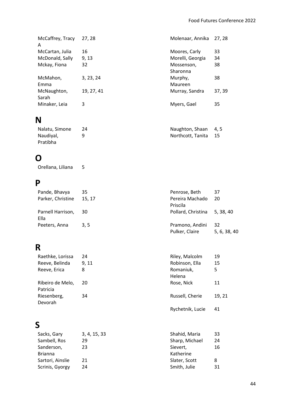| McCaffrey, Tracy<br>A | 27, 28     | Molenaar, Annika       | 27, 28 |
|-----------------------|------------|------------------------|--------|
| McCartan, Julia       | 16         | Moores, Carly          | 33     |
| McDonald, Sally       | 9, 13      | Morelli, Georgia       | 34     |
| Mckay, Fiona          | 32         | Mossenson,<br>Sharonna | 38     |
| McMahon,<br>Emma      | 3, 23, 24  | Murphy,<br>Maureen     | 38     |
| McNaughton,<br>Sarah  | 19, 27, 41 | Murray, Sandra         | 37, 39 |
| Minaker, Leia         | 3          | Myers, Gael            | 35     |
|                       |            |                        |        |

# **N**

| Nalatu, Simone | Naughton, Shaan 4, 5 |      |
|----------------|----------------------|------|
| Naudiyal,      | Northcott, Tanita    | - 15 |
| Pratibha       |                      |      |

# **O**

Orellana, Liliana 5

# **P**

| Pande, Bhavya             | 35    | Penrose, Beth                     | 37                 |
|---------------------------|-------|-----------------------------------|--------------------|
| Parker, Christine         | 15.17 | Pereira Machado<br>Priscila       | 20                 |
| Parnell Harrison,<br>Ella | 30    | Pollard, Christina 5, 38, 40      |                    |
| Peeters, Anna             | 3.5   | Pramono, Andini<br>Pulker, Claire | 32<br>5, 6, 38, 40 |

# **R**

| Raethke, Lorissa             | 24    | Riley, Malcolm   | 19     |
|------------------------------|-------|------------------|--------|
| Reeve, Belinda               | 9, 11 | Robinson, Ella   | 15     |
| Reeve, Erica                 | 8     | Romaniuk,        | 5      |
|                              |       | Helena           |        |
| Ribeiro de Melo,<br>Patricia | 20    | Rose, Nick       | 11     |
| Riesenberg,<br>Devorah       | 34    | Russell, Cherie  | 19, 21 |
|                              |       | Rychetnik, Lucie | 41     |

# **S**

| 3, 4, 15, 33 | Shahid, Maria  | 33 |
|--------------|----------------|----|
| 29           | Sharp, Michael | 24 |
| 23           | Sievert,       | 16 |
|              | Katherine      |    |
| 21           | Slater, Scott  | 8  |
| 24           | Smith, Julie   | 31 |
|              |                |    |